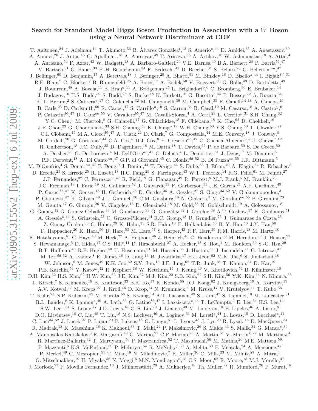# Search for Standard Model Higgs Boson Production in Association with a W Boson using a Neural Network Discriminant at CDF

T. Aaltonen,<sup>24</sup> J. Adelman,<sup>14</sup> T. Akimoto,<sup>56</sup> B. Álvarez González<sup>t</sup>,<sup>12</sup> S. Amerio<sup>z</sup>,<sup>44</sup> D. Amidei,<sup>35</sup> A. Anastassov,<sup>39</sup> A. Annovi,<sup>20</sup> J. Antos,<sup>15</sup> G. Apollinari,<sup>18</sup> A. Apresyan,<sup>49</sup> T. Arisawa,<sup>58</sup> A. Artikov,<sup>16</sup> W. Ashmanskas,<sup>18</sup> A. Attal,<sup>4</sup> A. Aurisano,<sup>54</sup> F. Azfar,<sup>43</sup> W. Badgett,<sup>18</sup> A. Barbaro-Galtieri,<sup>29</sup> V.E. Barnes,<sup>49</sup> B.A. Barnett,<sup>26</sup> P. Barria<sup>bb</sup>,<sup>47</sup> V. Bartsch,<sup>31</sup> G. Bauer,<sup>33</sup> P.-H. Beauchemin,<sup>34</sup> F. Bedeschi,<sup>47</sup> D. Beecher,<sup>31</sup> S. Behari,<sup>26</sup> G. Bellettini<sup>aa</sup>,<sup>47</sup> J. Bellinger, <sup>60</sup> D. Benjamin, <sup>17</sup> A. Beretvas, <sup>18</sup> J. Beringer, <sup>29</sup> A. Bhatti, <sup>51</sup> M. Binkley, <sup>18</sup> D. Bisello<sup>z</sup>, <sup>44</sup> I. Bizjak<sup>f f</sup>, <sup>31</sup> R.E. Blair,<sup>2</sup> C. Blocker,<sup>7</sup> B. Blumenfeld,<sup>26</sup> A. Bocci,<sup>17</sup> A. Bodek,<sup>50</sup> V. Boisvert,<sup>50</sup> G. Bolla,<sup>49</sup> D. Bortoletto,<sup>49</sup> J. Boudreau,<sup>48</sup> A. Boveia,<sup>11</sup> B. Brau<sup>a</sup>,<sup>11</sup> A. Bridgeman,<sup>25</sup> L. Brigliadori<sup>y</sup>,<sup>6</sup> C. Bromberg,<sup>36</sup> E. Brubaker,<sup>14</sup> J. Budagov,<sup>16</sup> H.S. Budd,<sup>50</sup> S. Budd,<sup>25</sup> S. Burke,<sup>18</sup> K. Burkett,<sup>18</sup> G. Busetto<sup>z</sup>,<sup>44</sup> P. Bussey,<sup>22</sup> A. Buzatu,<sup>34</sup> K. L. Byrum,<sup>2</sup> S. Cabrera<sup>v</sup>,<sup>17</sup> C. Calancha,<sup>32</sup> M. Campanelli,<sup>36</sup> M. Campbell,<sup>35</sup> F. Canelli<sup>14</sup>,<sup>18</sup> A. Canepa,<sup>46</sup> B. Carls,<sup>25</sup> D. Carlsmith,<sup>60</sup> R. Carosi,<sup>47</sup> S. Carrillo<sup>n</sup>,<sup>19</sup> S. Carron,<sup>34</sup> B. Casal,<sup>12</sup> M. Casarsa,<sup>18</sup> A. Castro<sup>y</sup>,<sup>6</sup> P. Catastini<sup>bb</sup>,<sup>47</sup> D. Cauz<sup>ee</sup>,<sup>55</sup> V. Cavaliere<sup>bb</sup>,<sup>47</sup> M. Cavalli-Sforza,<sup>4</sup> A. Cerri,<sup>29</sup> L. Cerrito<sup>p</sup>,<sup>31</sup> S.H. Chang,<sup>62</sup> Y.C. Chen,<sup>1</sup> M. Chertok,<sup>8</sup> G. Chiarelli,<sup>47</sup> G. Chlachidze,<sup>18</sup> F. Chlebana,<sup>18</sup> K. Cho,<sup>62</sup> D. Chokheli,<sup>16</sup> J.P. Chou,<sup>23</sup> G. Choudalakis,<sup>33</sup> S.H. Chuang,<sup>53</sup> K. Chung<sup>o</sup>,<sup>18</sup> W.H. Chung,<sup>60</sup> Y.S. Chung,<sup>50</sup> T. Chwalek,<sup>27</sup> C.I. Ciobanu,<sup>45</sup> M.A. Ciocci<sup>bb</sup>,<sup>47</sup> A. Clark,<sup>21</sup> D. Clark,<sup>7</sup> G. Compostella,<sup>44</sup> M.E. Convery,<sup>18</sup> J. Conway,<sup>8</sup> M. Cordelli,<sup>20</sup> G. Cortiana<sup>z</sup>,<sup>44</sup> C.A. Cox,<sup>8</sup> D.J. Cox,<sup>8</sup> F. Crescioli<sup>aa</sup>,<sup>47</sup> C. Cuenca Almenar<sup>v</sup>,<sup>8</sup> J. Cuevas<sup>t</sup>,<sup>12</sup> R. Culbertson,<sup>18</sup> J.C. Cully,<sup>35</sup> D. Dagenhart,<sup>18</sup> M. Datta,<sup>18</sup> T. Davies,<sup>22</sup> P. de Barbaro,<sup>50</sup> S. De Cecco,<sup>52</sup> A. Deisher,<sup>29</sup> G. De Lorenzo,<sup>4</sup> M. Dell'Orso<sup>aa</sup>,<sup>47</sup> C. Deluca,<sup>4</sup> L. Demortier,<sup>51</sup> J. Deng,<sup>17</sup> M. Deninno,<sup>6</sup> P.F. Derwent,<sup>18</sup> A. Di Canto<sup>aa</sup>,<sup>47</sup> G.P. di Giovanni,<sup>45</sup> C. Dionisi<sup>dd</sup>,<sup>52</sup> B. Di Ruzza<sup>ee</sup>,<sup>55</sup> J.R. Dittmann,<sup>5</sup> M. D'Onofrio,<sup>4</sup> S. Donati<sup>aa</sup>,<sup>47</sup> P. Dong,<sup>9</sup> J. Donini,<sup>44</sup> T. Dorigo,<sup>44</sup> S. Dube,<sup>53</sup> J. Efron,<sup>40</sup> A. Elagin,<sup>54</sup> R. Erbacher,<sup>8</sup> D. Errede,<sup>25</sup> S. Errede,<sup>25</sup> R. Eusebi,<sup>18</sup> H.C. Fang,<sup>29</sup> S. Farrington,<sup>43</sup> W.T. Fedorko,<sup>14</sup> R.G. Feild,<sup>61</sup> M. Feindt,<sup>27</sup> J.P. Fernandez,<sup>32</sup> C. Ferrazza<sup>cc</sup>,<sup>47</sup> R. Field,<sup>19</sup> G. Flanagan,<sup>49</sup> R. Forrest,<sup>8</sup> M.J. Frank,<sup>5</sup> M. Franklin,<sup>23</sup> J.C. Freeman,<sup>18</sup> I. Furic,<sup>19</sup> M. Gallinaro,<sup>52</sup> J. Galyardt,<sup>13</sup> F. Garberson,<sup>11</sup> J.E. Garcia,<sup>21</sup> A.F. Garfinkel,<sup>49</sup> P. Garosi<sup>bb</sup>,<sup>47</sup> K. Genser,<sup>18</sup> H. Gerberich,<sup>25</sup> D. Gerdes,<sup>35</sup> A. Gessler,<sup>27</sup> S. Giagu<sup>dd</sup>,<sup>52</sup> V. Giakoumopoulou,<sup>3</sup> P. Giannetti,<sup>47</sup> K. Gibson,<sup>48</sup> J.L. Gimmell,<sup>50</sup> C.M. Ginsburg,<sup>18</sup> N. Giokaris,<sup>3</sup> M. Giordani<sup>ee</sup>,<sup>55</sup> P. Giromini,<sup>20</sup> M. Giunta,<sup>47</sup> G. Giurgiu,<sup>26</sup> V. Glagolev,<sup>16</sup> D. Glenzinski,<sup>18</sup> M. Gold,<sup>38</sup> N. Goldschmidt,<sup>19</sup> A. Golossanov,<sup>18</sup> G. Gomez,<sup>12</sup> G. Gomez-Ceballos,<sup>33</sup> M. Goncharov,<sup>33</sup> O. González,<sup>32</sup> I. Gorelov,<sup>38</sup> A.T. Goshaw,<sup>17</sup> K. Goulianos,<sup>51</sup> A. Gresele<sup>z</sup>,<sup>44</sup> S. Grinstein,<sup>23</sup> C. Grosso-Pilcher,<sup>14</sup> R.C. Group,<sup>18</sup> U. Grundler,<sup>25</sup> J. Guimaraes da Costa,<sup>23</sup> Z. Gunay-Unalan,<sup>36</sup> C. Haber,<sup>29</sup> K. Hahn,<sup>33</sup> S.R. Hahn,<sup>18</sup> E. Halkiadakis,<sup>53</sup> B.-Y. Han,<sup>50</sup> J.Y. Han,<sup>50</sup> F. Happacher,<sup>20</sup> K. Hara,<sup>56</sup> D. Hare,<sup>53</sup> M. Hare,<sup>57</sup> S. Harper,<sup>43</sup> R.F. Harr,<sup>59</sup> R.M. Harris,<sup>18</sup> M. Hartz,<sup>48</sup> K. Hatakeyama,<sup>51</sup> C. Hays,<sup>43</sup> M. Heck,<sup>27</sup> A. Heijboer,<sup>46</sup> J. Heinrich,<sup>46</sup> C. Henderson,<sup>33</sup> M. Herndon,<sup>60</sup> J. Heuser,<sup>27</sup> S. Hewamanage,<sup>5</sup> D. Hidas,<sup>17</sup> C.S. Hill<sup>c</sup>,<sup>11</sup> D. Hirschbuehl,<sup>27</sup> A. Hocker,<sup>18</sup> S. Hou,<sup>1</sup> M. Houlden,<sup>30</sup> S.-C. Hsu,<sup>29</sup> B.T. Huffman,<sup>43</sup> R.E. Hughes,<sup>40</sup> U. Husemann,<sup>61</sup> M. Hussein,<sup>36</sup> J. Huston,<sup>36</sup> J. Incandela,<sup>11</sup> G. Introzzi,<sup>47</sup> M. Iori<sup>dd</sup>,<sup>52</sup> A. Ivanov,<sup>8</sup> E. James,<sup>18</sup> D. Jang,<sup>13</sup> B. Jayatilaka,<sup>17</sup> E.J. Jeon,<sup>62</sup> M.K. Jha,<sup>6</sup> S. Jindariani,<sup>18</sup> W. Johnson, <sup>8</sup> M. Jones, <sup>49</sup> K.K. Joo, <sup>62</sup> S.Y. Jun, <sup>13</sup> J.E. Jung, <sup>62</sup> T.R. Junk, <sup>18</sup> T. Kamon, <sup>54</sup> D. Kar, <sup>19</sup> P.E. Karchin,<sup>59</sup> Y. Kato<sup>m</sup>,<sup>42</sup> R. Kephart,<sup>18</sup> W. Ketchum,<sup>14</sup> J. Keung,<sup>46</sup> V. Khotilovich,<sup>54</sup> B. Kilminster,<sup>18</sup> D.H. Kim,<sup>62</sup> H.S. Kim,<sup>62</sup> H.W. Kim,<sup>62</sup> J.E. Kim,<sup>62</sup> M.J. Kim,<sup>20</sup> S.B. Kim,<sup>62</sup> S.H. Kim,<sup>56</sup> Y.K. Kim,<sup>14</sup> N. Kimura,<sup>56</sup> L. Kirsch,<sup>7</sup> S. Klimenko,<sup>19</sup> B. Knuteson,<sup>33</sup> B.R. Ko,<sup>17</sup> K. Kondo,<sup>58</sup> D.J. Kong,<sup>62</sup> J. Konigsberg,<sup>19</sup> A. Korytov,<sup>19</sup> A.V. Kotwal,<sup>17</sup> M. Kreps,<sup>27</sup> J. Kroll,<sup>46</sup> D. Krop,<sup>14</sup> N. Krumnack,<sup>5</sup> M. Kruse,<sup>17</sup> V. Krutelyov,<sup>11</sup> T. Kubo,<sup>56</sup> T. Kuhr,<sup>27</sup> N.P. Kulkarni,<sup>59</sup> M. Kurata,<sup>56</sup> S. Kwang,<sup>14</sup> A.T. Laasanen,<sup>49</sup> S. Lami,<sup>47</sup> S. Lammel,<sup>18</sup> M. Lancaster,<sup>31</sup> R.L. Lander,<sup>8</sup> K. Lannon<sup>s</sup>,<sup>40</sup> A. Lath,<sup>53</sup> G. Latino<sup>bb</sup>,<sup>47</sup> I. Lazzizzera<sup>z</sup>,<sup>44</sup> T. LeCompte,<sup>2</sup> E. Lee,<sup>54</sup> H.S. Lee,<sup>14</sup> S.W. Lee<sup>u</sup>,<sup>54</sup> S. Leone,<sup>47</sup> J.D. Lewis,<sup>18</sup> C.-S. Lin,<sup>29</sup> J. Linacre,<sup>43</sup> M. Lindgren,<sup>18</sup> E. Lipeles,<sup>46</sup> A. Lister,<sup>8</sup> D.O. Litvintsev,<sup>18</sup> C. Liu,<sup>48</sup> T. Liu,<sup>18</sup> N.S. Lockyer,<sup>46</sup> A. Loginov,<sup>61</sup> M. Loreti<sup>z</sup>,<sup>44</sup> L. Lovas,<sup>15</sup> D. Lucchesi<sup>z</sup>,<sup>44</sup> C. Luci<sup>dd</sup>,<sup>52</sup> J. Lueck,<sup>27</sup> P. Lujan,<sup>29</sup> P. Lukens,<sup>18</sup> G. Lungu,<sup>51</sup> L. Lyons,<sup>43</sup> J. Lys,<sup>29</sup> R. Lysak,<sup>15</sup> D. MacQueen,<sup>34</sup> R. Madrak,<sup>18</sup> K. Maeshima,<sup>18</sup> K. Makhoul,<sup>33</sup> T. Maki,<sup>24</sup> P. Maksimovic,<sup>26</sup> S. Malde,<sup>43</sup> S. Malik,<sup>31</sup> G. Manca<sup>e</sup>,<sup>30</sup> A. Manousakis-Katsikakis,<sup>3</sup> F. Margaroli,<sup>49</sup> C. Marino,<sup>27</sup> C.P. Marino,<sup>25</sup> A. Martin,<sup>61</sup> V. Martin<sup>k</sup>,<sup>22</sup> M. Martínez,<sup>4</sup> R. Martínez-Ballarín,<sup>32</sup> T. Maruyama,<sup>56</sup> P. Mastrandrea,<sup>52</sup> T. Masubuchi,<sup>56</sup> M. Mathis,<sup>26</sup> M.E. Mattson,<sup>59</sup> P. Mazzanti, <sup>6</sup> K.S. McFarland, <sup>50</sup> P. McIntyre, <sup>54</sup> R. McNulty<sup>j</sup>, <sup>30</sup> A. Mehta, <sup>30</sup> P. Mehtala, <sup>24</sup> A. Menzione, <sup>47</sup> P. Merkel,<sup>49</sup> C. Mesropian,<sup>51</sup> T. Miao,<sup>18</sup> N. Miladinovic,<sup>7</sup> R. Miller,<sup>36</sup> C. Mills,<sup>23</sup> M. Milnik,<sup>27</sup> A. Mitra,<sup>1</sup> G. Mitselmakher,<sup>19</sup> H. Miyake,<sup>56</sup> N. Moggi,<sup>6</sup> M.N. Mondragon<sup>n</sup>,<sup>18</sup> C.S. Moon,<sup>62</sup> R. Moore,<sup>18</sup> M.J. Morello,<sup>47</sup> J. Morlock,<sup>27</sup> P. Movilla Fernandez,<sup>18</sup> J. Mülmenstädt,<sup>29</sup> A. Mukherjee,<sup>18</sup> Th. Muller,<sup>27</sup> R. Mumford,<sup>26</sup> P. Murat,<sup>18</sup>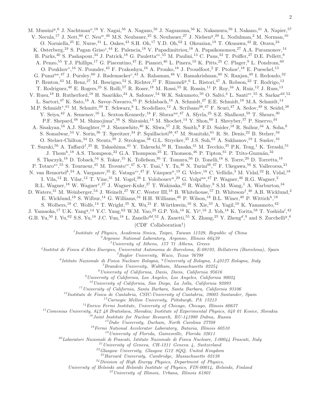M. Mussini<sup>y</sup>, <sup>6</sup> J. Nachtman<sup>o</sup>, <sup>18</sup> Y. Nagai, <sup>56</sup> A. Nagano, <sup>56</sup> J. Naganoma, <sup>56</sup> K. Nakamura, <sup>56</sup> I. Nakano, <sup>41</sup> A. Napier, <sup>57</sup> V. Necula,<sup>17</sup> J. Nett,<sup>60</sup> C. Neu<sup>w</sup>,<sup>46</sup> M.S. Neubauer,<sup>25</sup> S. Neubauer,<sup>27</sup> J. Nielsen<sup>g</sup>,<sup>29</sup> L. Nodulman,<sup>2</sup> M. Norman,<sup>10</sup> O. Norniella,<sup>25</sup> E. Nurse,<sup>31</sup> L. Oakes,<sup>43</sup> S.H. Oh,<sup>17</sup> Y.D. Oh,<sup>62</sup> I. Oksuzian,<sup>19</sup> T. Okusawa,<sup>42</sup> R. Orava,<sup>24</sup> K. Osterberg,<sup>24</sup> S. Pagan Griso<sup>z</sup>,<sup>44</sup> E. Palencia,<sup>18</sup> V. Papadimitriou,<sup>18</sup> A. Papaikonomou,<sup>27</sup> A.A. Paramonov,<sup>14</sup> B. Parks,<sup>40</sup> S. Pashapour,<sup>34</sup> J. Patrick,<sup>18</sup> G. Pauletta<sup>ee</sup>,<sup>55</sup> M. Paulini,<sup>13</sup> C. Paus,<sup>33</sup> T. Peiffer,<sup>27</sup> D.E. Pellett,<sup>8</sup> A. Penzo,<sup>55</sup> T.J. Phillips,<sup>17</sup> G. Piacentino,<sup>47</sup> E. Pianori,<sup>46</sup> L. Pinera,<sup>19</sup> K. Pitts,<sup>25</sup> C. Plager,<sup>9</sup> L. Pondrom,<sup>60</sup> O. Poukhov<sup>\*</sup>,<sup>16</sup> N. Pounder,<sup>43</sup> F. Prakoshyn,<sup>16</sup> A. Pronko,<sup>18</sup> J. Proudfoot,<sup>2</sup> F. Ptohos<sup>*i*</sup>,<sup>18</sup> E. Pueschel,<sup>13</sup> G. Punzi<sup>aa</sup>,<sup>47</sup> J. Pursley,<sup>60</sup> J. Rademacker<sup>c</sup>,<sup>43</sup> A. Rahaman,<sup>48</sup> V. Ramakrishnan,<sup>60</sup> N. Ranjan,<sup>49</sup> I. Redondo,<sup>32</sup> P. Renton,<sup>43</sup> M. Renz,<sup>27</sup> M. Rescigno,<sup>52</sup> S. Richter,<sup>27</sup> F. Rimondi<sup>y</sup>,<sup>6</sup> L. Ristori,<sup>47</sup> A. Robson,<sup>22</sup> T. Rodrigo,<sup>12</sup> T. Rodriguez,<sup>46</sup> E. Rogers,<sup>25</sup> S. Rolli,<sup>57</sup> R. Roser,<sup>18</sup> M. Rossi,<sup>55</sup> R. Rossin,<sup>11</sup> P. Roy,<sup>34</sup> A. Ruiz,<sup>12</sup> J. Russ,<sup>13</sup> V. Rusu,<sup>18</sup> B. Rutherford,<sup>18</sup> H. Saarikko,<sup>24</sup> A. Safonov,<sup>54</sup> W.K. Sakumoto,<sup>50</sup> O. Saltó,<sup>4</sup> L. Santi<sup>ee</sup>,<sup>55</sup> S. Sarkar<sup>dd</sup>,<sup>52</sup> L. Sartori,<sup>47</sup> K. Sato,<sup>18</sup> A. Savoy-Navarro,<sup>45</sup> P. Schlabach,<sup>18</sup> A. Schmidt,<sup>27</sup> E.E. Schmidt,<sup>18</sup> M.A. Schmidt,<sup>14</sup> M.P. Schmidt<sup>\*</sup>,<sup>61</sup> M. Schmitt,<sup>39</sup> T. Schwarz,<sup>8</sup> L. Scodellaro,<sup>12</sup> A. Scribano<sup>bb</sup>,<sup>47</sup> F. Scuri,<sup>47</sup> A. Sedov,<sup>49</sup> S. Seidel,<sup>38</sup> Y. Seiya,<sup>42</sup> A. Semenov,<sup>16</sup> L. Sexton-Kennedy,<sup>18</sup> F. Sforza<sup>aa</sup>,<sup>47</sup> A. Sfyrla,<sup>25</sup> S.Z. Shalhout,<sup>59</sup> T. Shears,<sup>30</sup> P.F. Shepard,<sup>48</sup> M. Shimojima<sup>r</sup>,<sup>56</sup> S. Shiraishi,<sup>14</sup> M. Shochet,<sup>14</sup> Y. Shon,<sup>60</sup> I. Shreyber,<sup>37</sup> P. Sinervo,<sup>34</sup> A. Sisakyan,<sup>16</sup> A.J. Slaughter,<sup>18</sup> J. Slaunwhite,<sup>40</sup> K. Sliwa,<sup>57</sup> J.R. Smith,<sup>8</sup> F.D. Snider,<sup>18</sup> R. Snihur,<sup>34</sup> A. Soha,<sup>8</sup> S. Somalwar,<sup>53</sup> V. Sorin,<sup>36</sup> T. Spreitzer,<sup>34</sup> P. Squillacioti<sup>bb</sup>,<sup>47</sup> M. Stanitzki,<sup>61</sup> R. St. Denis,<sup>22</sup> B. Stelzer,<sup>34</sup> O. Stelzer-Chilton,<sup>34</sup> D. Stentz,<sup>39</sup> J. Strologas,<sup>38</sup> G.L. Strycker,<sup>35</sup> J.S. Suh,<sup>62</sup> A. Sukhanov,<sup>19</sup> I. Suslov,<sup>16</sup> T. Suzuki,<sup>56</sup> A. Taffard<sup>f</sup>,<sup>25</sup> R. Takashima,<sup>41</sup> Y. Takeuchi,<sup>56</sup> R. Tanaka,<sup>41</sup> M. Tecchio,<sup>35</sup> P.K. Teng,<sup>1</sup> K. Terashi,<sup>51</sup> J. Thom<sup>h<sub>, 18</sub></sup> A.S. Thompson,<sup>22</sup> G.A. Thompson,<sup>25</sup> E. Thomson,<sup>46</sup> P. Tipton,<sup>61</sup> P. Ttito-Guzmán,<sup>32</sup> S. Tkaczyk,<sup>18</sup> D. Toback,<sup>54</sup> S. Tokar,<sup>15</sup> K. Tollefson,<sup>36</sup> T. Tomura,<sup>56</sup> D. Tonelli,<sup>18</sup> S. Torre,<sup>20</sup> D. Torretta,<sup>18</sup> P. Totaro<sup>ee</sup>,<sup>55</sup> S. Tourneur,<sup>45</sup> M. Trovato<sup>cc</sup>,<sup>47</sup> S.-Y. Tsai,<sup>1</sup> Y. Tu,<sup>46</sup> N. Turini<sup>bb</sup>,<sup>47</sup> F. Ukegawa,<sup>56</sup> S. Vallecorsa,<sup>21</sup> N. van Remortel<sup>b</sup>,<sup>24</sup> A. Varganov,<sup>35</sup> E. Vataga<sup>cc</sup>,<sup>47</sup> F. Vázquez<sup>n</sup>,<sup>19</sup> G. Velev,<sup>18</sup> C. Vellidis,<sup>3</sup> M. Vidal,<sup>32</sup> R. Vidal,<sup>18</sup> I. Vila,<sup>12</sup> R. Vilar,<sup>12</sup> T. Vine,<sup>31</sup> M. Vogel,<sup>38</sup> I. Volobouev<sup>u</sup>,<sup>29</sup> G. Volpi<sup>aa</sup>,<sup>47</sup> P. Wagner,<sup>46</sup> R.G. Wagner,<sup>2</sup> R.L. Wagner,<sup>18</sup> W. Wagner<sup>x</sup>,<sup>27</sup> J. Wagner-Kuhr,<sup>27</sup> T. Wakisaka,<sup>42</sup> R. Wallny,<sup>9</sup> S.M. Wang,<sup>1</sup> A. Warburton,<sup>34</sup> D. Waters,<sup>31</sup> M. Weinberger,<sup>54</sup> J. Weinelt,<sup>27</sup> W.C. Wester III,<sup>18</sup> B. Whitehouse,<sup>57</sup> D. Whiteson<sup>f</sup>,<sup>46</sup> A.B. Wicklund,<sup>2</sup> E. Wicklund,<sup>18</sup> S. Wilbur,<sup>14</sup> G. Williams,<sup>34</sup> H.H. Williams,<sup>46</sup> P. Wilson,<sup>18</sup> B.L. Winer,<sup>40</sup> P. Wittich<sup>h</sup>,<sup>18</sup> S. Wolbers,<sup>18</sup> C. Wolfe,<sup>14</sup> T. Wright,<sup>35</sup> X. Wu,<sup>21</sup> F. Würthwein,<sup>10</sup> S. Xie,<sup>33</sup> A. Yagil,<sup>10</sup> K. Yamamoto,<sup>42</sup> J. Yamaoka,<sup>17</sup> U.K. Yang<sup>q</sup>,<sup>14</sup> Y.C. Yang,<sup>62</sup> W.M. Yao,<sup>29</sup> G.P. Yeh,<sup>18</sup> K. Yi<sup>o</sup>,<sup>18</sup> J. Yoh,<sup>18</sup> K. Yorita,<sup>58</sup> T. Yoshida<sup>l</sup>,<sup>42</sup> G.B. Yu,<sup>50</sup> I. Yu,<sup>62</sup> S.S. Yu,<sup>18</sup> J.C. Yun,<sup>18</sup> L. Zanello<sup>dd</sup>,<sup>52</sup> A. Zanetti,<sup>55</sup> X. Zhang,<sup>25</sup> Y. Zheng<sup>d</sup>,<sup>9</sup> and S. Zucchelli<sup>y</sup>,<sup>6</sup>

(CDF Collaboration† )

1 *Institute of Physics, Academia Sinica, Taipei, Taiwan 11529, Republic of China*

<sup>2</sup>*Argonne National Laboratory, Argonne, Illinois 60439*

<sup>3</sup>*University of Athens, 157 71 Athens, Greece*

4 *Institut de Fisica d'Altes Energies, Universitat Autonoma de Barcelona, E-08193, Bellaterra (Barcelona), Spain*

<sup>5</sup>*Baylor University, Waco, Texas 76798*

6 *Istituto Nazionale di Fisica Nucleare Bologna,* <sup>y</sup>*University of Bologna, I-40127 Bologna, Italy*

<sup>7</sup>*Brandeis University, Waltham, Massachusetts 02254*

<sup>8</sup>*University of California, Davis, Davis, California 95616*

<sup>9</sup>*University of California, Los Angeles, Los Angeles, California 90024*

<sup>10</sup>*University of California, San Diego, La Jolla, California 92093*

<sup>11</sup>*University of California, Santa Barbara, Santa Barbara, California 93106*

<sup>12</sup>*Instituto de Fisica de Cantabria, CSIC-University of Cantabria, 39005 Santander, Spain*

<sup>13</sup>*Carnegie Mellon University, Pittsburgh, PA 15213*

<sup>14</sup>*Enrico Fermi Institute, University of Chicago, Chicago, Illinois 60637*

<sup>15</sup>*Comenius University, 842 48 Bratislava, Slovakia; Institute of Experimental Physics, 040 01 Kosice, Slovakia*

<sup>16</sup>*Joint Institute for Nuclear Research, RU-141980 Dubna, Russia*

<sup>17</sup>*Duke University, Durham, North Carolina 27708*

<sup>18</sup>*Fermi National Accelerator Laboratory, Batavia, Illinois 60510*

<sup>19</sup>*University of Florida, Gainesville, Florida 32611*

<sup>20</sup>*Laboratori Nazionali di Frascati, Istituto Nazionale di Fisica Nucleare, I-00044 Frascati, Italy*

<sup>21</sup>*University of Geneva, CH-1211 Geneva 4, Switzerland*

<sup>22</sup>*Glasgow University, Glasgow G12 8QQ, United Kingdom*

<sup>23</sup>*Harvard University, Cambridge, Massachusetts 02138*

<sup>24</sup>*Division of High Energy Physics, Department of Physics,*

*University of Helsinki and Helsinki Institute of Physics, FIN-00014, Helsinki, Finland*

<sup>25</sup>*University of Illinois, Urbana, Illinois 61801*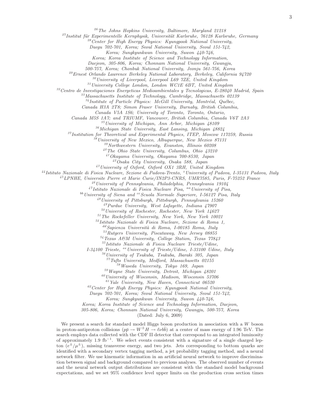<sup>26</sup>*The Johns Hopkins University, Baltimore, Maryland 21218*

<sup>27</sup>Institut für Experimentelle Kernphysik, Universität Karlsruhe, 76128 Karlsruhe, Germany

<sup>28</sup>*Center for High Energy Physics: Kyungpook National University,*

*Daegu 702-701, Korea; Seoul National University, Seoul 151-742,*

*Korea; Sungkyunkwan University, Suwon 440-746,*

*Korea; Korea Institute of Science and Technology Information,*

*Daejeon, 305-806, Korea; Chonnam National University, Gwangju,*

*500-757, Korea; Chonbuk National University, Jeonju 561-756, Korea*

<sup>29</sup>*Ernest Orlando Lawrence Berkeley National Laboratory, Berkeley, California 94720*

<sup>30</sup>*University of Liverpool, Liverpool L69 7ZE, United Kingdom*

<sup>31</sup>*University College London, London WC1E 6BT, United Kingdom*

<sup>32</sup>*Centro de Investigaciones Energeticas Medioambientales y Tecnologicas, E-28040 Madrid, Spain*

<sup>33</sup>*Massachusetts Institute of Technology, Cambridge, Massachusetts 02139*

<sup>34</sup>Institute of Particle Physics: McGill University, Montréal, Québec,

*Canada H3A 2T8; Simon Fraser University, Burnaby, British Columbia,*

*Canada V5A 1S6; University of Toronto, Toronto, Ontario,*

*Canada M5S 1A7; and TRIUMF, Vancouver, British Columbia, Canada V6T 2A3*

<sup>35</sup>*University of Michigan, Ann Arbor, Michigan 48109*

<sup>36</sup>*Michigan State University, East Lansing, Michigan 48824*

<sup>37</sup>*Institution for Theoretical and Experimental Physics, ITEP, Moscow 117259, Russia*

<sup>38</sup>*University of New Mexico, Albuquerque, New Mexico 87131*

<sup>39</sup>*Northwestern University, Evanston, Illinois 60208*

<sup>40</sup>*The Ohio State University, Columbus, Ohio 43210*

<sup>41</sup>*Okayama University, Okayama 700-8530, Japan*

<sup>42</sup>*Osaka City University, Osaka 588, Japan*

<sup>43</sup>*University of Oxford, Oxford OX1 3RH, United Kingdom*

<sup>44</sup>*Istituto Nazionale di Fisica Nucleare, Sezione di Padova-Trento,* <sup>z</sup>*University of Padova, I-35131 Padova, Italy*

<sup>45</sup>*LPNHE, Universite Pierre et Marie Curie/IN2P3-CNRS, UMR7585, Paris, F-75252 France*

<sup>46</sup>*University of Pennsylvania, Philadelphia, Pennsylvania 19104*

<sup>47</sup>*Istituto Nazionale di Fisica Nucleare Pisa,* aa*University of Pisa,*

<sup>bb</sup> University of Siena and <sup>cc</sup> Scuola Normale Superiore, I-56127 Pisa, Italy

<sup>48</sup>*University of Pittsburgh, Pittsburgh, Pennsylvania 15260*

<sup>49</sup>*Purdue University, West Lafayette, Indiana 47907*

<sup>50</sup>*University of Rochester, Rochester, New York 14627*

<sup>51</sup>*The Rockefeller University, New York, New York 10021*

<sup>52</sup>*Istituto Nazionale di Fisica Nucleare, Sezione di Roma 1,*

dd*Sapienza Universit`a di Roma, I-00185 Roma, Italy*

<sup>53</sup>*Rutgers University, Piscataway, New Jersey 08855*

<sup>54</sup>*Texas A&M University, College Station, Texas 77843*

<sup>55</sup>*Istituto Nazionale di Fisica Nucleare Trieste/Udine,*

*I-34100 Trieste,* ee*University of Trieste/Udine, I-33100 Udine, Italy*

<sup>56</sup>*University of Tsukuba, Tsukuba, Ibaraki 305, Japan*

<sup>57</sup>*Tufts University, Medford, Massachusetts 02155*

<sup>58</sup>*Waseda University, Tokyo 169, Japan*

<sup>59</sup>*Wayne State University, Detroit, Michigan 48201*

<sup>60</sup>*University of Wisconsin, Madison, Wisconsin 53706*

<sup>61</sup>*Yale University, New Haven, Connecticut 06520*

<sup>62</sup>*Center for High Energy Physics: Kyungpook National University,*

*Daegu 702-701, Korea; Seoul National University, Seoul 151-742,*

*Korea; Sungkyunkwan University, Suwon 440-746,*

*Korea; Korea Institute of Science and Technology Information, Daejeon,*

*305-806, Korea; Chonnam National University, Gwangju, 500-757, Korea*

(Dated: July 6, 2009)

We present a search for standard model Higgs boson production in association with a W boson in proton-antiproton collisions  $(p\bar{p} \to W^{\pm} H \to \ell \nu b\bar{b})$  at a center of mass energy of 1.96 TeV. The search employs data collected with the CDF II detector that correspond to an integrated luminosity of approximately 1.9 fb<sup>-1</sup>. We select events consistent with a signature of a single charged lepton  $(e^{\pm}/\mu^{\pm})$ , missing transverse energy, and two jets. Jets corresponding to bottom quarks are identified with a secondary vertex tagging method, a jet probability tagging method, and a neural network filter. We use kinematic information in an artificial neural network to improve discrimination between signal and background compared to previous analyses. The observed number of events and the neural network output distributions are consistent with the standard model background expectations, and we set 95% confidence level upper limits on the production cross section times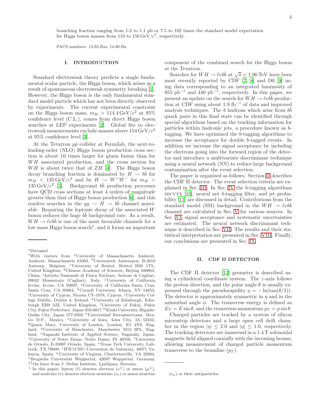branching fraction ranging from 1.2 to 1.1 pb or 7.5 to 102 times the standard model expectation for Higgs boson masses from 110 to  $150 \,\text{GeV}/c^2$ , respectively.

PACS numbers: 13.85.Rm, 14.80.Bn

#### I. INTRODUCTION

Standard electroweak theory predicts a single fundamental scalar particle, the Higgs boson, which arises as a result of spontaneous electroweak symmetry breaking [\[1\]](#page-13-0). However, the Higgs boson is the only fundamental standard model particle which has not been directly observed by experiments. The current experimental constraint on the Higgs boson mass,  $m_H > 114.4 \,\text{GeV}/c^2$  at 95% confidence level (C.L.), comes from direct Higgs boson searches at LEP experiments [\[2](#page-13-1)]. Global fits to electroweak measurements exclude masses above  $154 \,\mathrm{GeV}/c^2$ at 95% confidence level [\[3](#page-13-2)].

At the Tevatron  $p\bar{p}$  collider at Fermilab, the next-toleading-order (NLO) Higgs boson production cross section is about 10 times larger for gluon fusion than for WH associated production, and the cross section for  $WH$  is about twice that of  $ZH$  [\[4](#page-13-3)]. The Higgs boson decay branching fraction is dominated by  $H \rightarrow b\bar{b}$  for  $m_H$  < 135 GeV/ $c^2$  and by  $H \rightarrow W^+W^-$  for  $m_H$  >  $135 \,\text{GeV}/c^2$  [\[5\]](#page-13-4). Background  $b\bar{b}$  production processes have QCD cross sections at least 4 orders of magnitude greater than that of Higgs boson production [\[6\]](#page-13-5), and this renders searches in the  $gg \to \tilde{H} \to b\bar{b}$  channel nonviable. Requiring the leptonic decay of the associated W boson reduces the huge  $b\bar{b}$  background rate. As a result,  $WH \rightarrow \ell\nu bb$  is one of the most favorable channels for a low mass Higgs boson search<sup>1</sup>, and it forms an important

component of the combined search for the Higgs boson at the Tevatron.

Searches for  $WH \rightarrow \ell \nu b \bar{b}$  at  $\sqrt{s} = 1.96 \text{ TeV}$  have been most recently reported by CDF [\[7](#page-13-6), [8](#page-13-7)] and D0 [\[9\]](#page-13-8) using data corresponding to an integrated luminosity of  $955 \text{ pb}^{-1}$  and  $440 \text{ pb}^{-1}$ , respectively. In this paper, we present an update on the search for  $WH \rightarrow \ell \nu b\bar{b}$  production at CDF using about 1.9 fb<sup>-1</sup> of data and improved analysis techniques. The b hadrons which arise from  $b\bar{b}$ quark pairs in this final state can be identified through special algorithms based on the tracking information for particles within hadronic jets, a procedure known as btagging. We have optimized the b-tagging algorithms to increase the acceptance for double b-tagged events. In addition we increase the signal acceptance by including the electrons going into the forward region of the detector and introduce a multivariate discriminant technique using a neural network (NN) to reduce large background contamination after the event selection.

The paper is organized as follows. Section [II](#page-3-0) describes the CDF II detector. The event selection criteria are explained in Sec. [III.](#page-4-0) In Sec. [IV](#page-5-0) the b-tagging algorithms  $SECVTX$  [\[10\]](#page-13-9), neural net b-tagging filter, and jet probability [\[11](#page-13-10)] are discussed in detail. Contributions from the standard model (SM) background in the  $WH \rightarrow \ell \nu b\bar{b}$ channel are calculated in Sec. [V](#page-7-0) for various sources. In Sec. [VI,](#page-8-0) signal acceptance and systematic uncertainties are estimated. The neural network discriminant technique is described in Sec. [VII.](#page-10-0) The results and their statistical interpretation are presented in Sec. [VIII.](#page-11-0) Finally, our conclusions are presented in Sec. [IX.](#page-12-0)

## <span id="page-3-0"></span>II. CDF II DETECTOR

The CDF II detector [\[12](#page-13-11)] geometry is described using a cylindrical coordinate system. The z-axis follows the proton direction, and the polar angle  $\theta$  is usually expressed through the pseudorapidity  $\eta = -\ln(\tan(\theta/2)).$ The detector is approximately symmetric in  $\eta$  and in the azimuthal angle  $\phi$ . The transverse energy is defined as  $E_T = E \sin \theta$ , and the transverse momentum  $p_T = p \sin \theta$ .

Charged particles are tracked by a system of silicon microstrip detectors and a large open cell drift chamber in the region  $|\eta| \leq 2.0$  and  $|\eta| \leq 1.0$ , respectively. The tracking detectors are immersed in a 1.4 T solenoidal magnetic field aligned coaxially with the incoming beams, allowing measurement of charged particle momentum transverse to the beamline  $(p_T)$ .

<sup>∗</sup>Deceased

<sup>†</sup>With visitors from <sup>a</sup>University of Massachusetts Amherst, Amherst, Massachusetts 01003, <sup>b</sup>Universiteit Antwerpen, B-2610 Antwerp, Belgium, <sup>c</sup>University of Bristol, Bristol BS8 1TL, United Kingdom, <sup>d</sup>Chinese Academy of Sciences, Beijing 100864, China, <sup>e</sup> Istituto Nazionale di Fisica Nucleare, Sezione di Cagliari, 09042 Monserrato (Cagliari), Italy,  $^f$ University of California Irvine, Irvine, CA 92697, <sup>g</sup>University of California Santa Cruz, Santa Cruz, CA 95064, <sup>h</sup>Cornell University, Ithaca, NY 14853,  $^i$ University of Cyprus, Nicosia CY-1678, Cyprus,  $^j$ University College Dublin, Dublin 4, Ireland, <sup>k</sup>University of Edinburgh, Edinburgh EH9 3JZ, United Kingdom, <sup>l</sup>University of Fukui, Fukui City, Fukui Prefecture, Japan 910-0017 $^m \mathrm{Kinki}$ University, Higashi-Osaka City, Japan 577-8502 <sup>n</sup>Universidad Iberoamericana, Mexico D.F., Mexico, <sup>o</sup>University of Iowa, Iowa City, IA 52242,  $P$ Queen Mary, University of London, London, E1 4NS, England, <sup>q</sup>University of Manchester, Manchester M13 9PL, England, <sup>r</sup>Nagasaki Institute of Applied Science, Nagasaki, Japan,  ${}^s$ University of Notre Dame, Notre Dame, IN 46556,  ${}^t$ University de Oviedo, E-33007 Oviedo, Spain, <sup>u</sup>Texas Tech University, Lubbock, TX 79609, <sup>v</sup>IFIC(CSIC-Universitat de Valencia), 46071 Valencia, Spain, <sup>w</sup>University of Virginia, Charlottesville, VA 22904,  $x$ Bergische Universität Wuppertal, 42097 Wuppertal, Germany,  $f_{\text{on}}$  leave from J. Stefan Institute, Ljubljana, Slovenia,

<sup>&</sup>lt;sup>1</sup> In this paper, lepton ( $\ell$ ) denotes electron ( $e^{\pm}$ ) or muon ( $\mu^{\pm}$ ), and neutrino  $(\nu)$  denotes electron neutrino  $(\nu_e)$  or muon neutrino

 $(\nu_{\mu})$  or their antiparticles.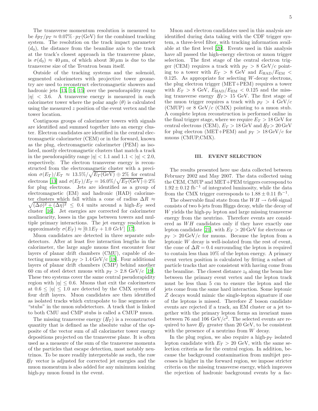The transverse momentum resolution is measured to be  $\delta p_T / p_T \approx 0.07\% \cdot p_T (\text{GeV})$  for the combined tracking system. The resolution on the track impact parameter  $(d_0)$ , the distance from the beamline axis to the track at the track's closest approach in the transverse plane, is  $\sigma(d_0) \approx 40 \,\mu\text{m}$ , of which about  $30 \,\mu\text{m}$  is due to the transverse size of the Tevatron beam itself.

Outside of the tracking systems and the solenoid, segmented calorimeters with projective tower geometry are used to reconstruct electromagnetic showers and hadronic jets [\[13,](#page-13-12) [14](#page-13-13), [15\]](#page-13-14) over the pseudorapidity range  $|\eta|$  < 3.6. A transverse energy is measured in each calorimeter tower where the polar angle  $(\theta)$  is calculated using the measured z position of the event vertex and the tower location.

Contiguous groups of calorimeter towers with signals are identified and summed together into an energy cluster. Electron candidates are identified in the central electromagnetic calorimeter (CEM) or in the forward, known as the plug, electromagnetic calorimeter (PEM) as isolated, mostly electromagnetic clusters that match a track in the pseudorapidity range  $|\eta| < 1.1$  and  $1.1 < |\eta| < 2.0$ , respectively. The electron transverse energy is reconstructed from the electromagnetic cluster with a precision  $\sigma(E_T)/E_T \approx 13.5\%/\sqrt{E_T(\text{GeV})} \oplus 2\%$  for central electrons [\[13](#page-13-12)] and  $\sigma(E_T)/E_T = 16.0\% / \sqrt{E_T(\text{GeV})} \oplus 2\%$ for plug electrons. Jets are identified as a group of electromagnetic (EM) and hadronic (HAD) calorime- $\sqrt{(\Delta\phi)^2 + (\Delta\eta)^2} \leq 0.4$  units around a high- $E_T$  seed ter clusters which fall within a cone of radius  $\Delta R \approx$ cluster [\[16](#page-13-15)]. Jet energies are corrected for calorimeter nonlinearity, losses in the gaps between towers and multiple primary interactions. The jet energy resolution is approximately  $\sigma(E_T) \approx [0.1E_T + 1.0 \; GeV]$  [\[17](#page-13-16)].

Muon candidates are detected in three separate subdetectors. After at least five interaction lengths in the calorimeter, the large angle muons first encounter four layers of planar drift chambers (CMU), capable of detecting muons with  $p_T > 1.4 \,\text{GeV/c}$  [\[18\]](#page-13-17). Four additional layers of planar drift chambers (CMP) behind another 60 cm of steel detect muons with  $p_T > 2.8 \text{ GeV}/c$  [\[19\]](#page-13-18). These two systems cover the same central pseudorapidity region with  $|\eta| \leq 0.6$ . Muons that exit the calorimeters at  $0.6 \leq |\eta| \leq 1.0$  are detected by the CMX system of four drift layers. Muon candidates are then identified as isolated tracks which extrapolate to line segments or "stubs" in the muon subdetectors. A track that is linked to both CMU and CMP stubs is called a CMUP muon.

The missing transverse energy  $(F_T)$  is a reconstructed quantity that is defined as the absolute value of the opposite of the vector sum of all calorimeter tower energy depositions projected on the transverse plane. It is often used as a measure of the sum of the transverse momenta of the particles that escape detection, most notably neutrinos. To be more readily interpretable as such, the raw  $E_T$  vector is adjusted for corrected jet energies and the muon momentum is also added for any minimum ionizing high- $p_T$  muon found in the event.

Muon and electron candidates used in this analysis are identified during data taking with the CDF trigger system, a three-level filter, with tracking information available at the first level [\[20\]](#page-13-19). Events used in this analysis have all passed the high-energy electron or muon trigger selection. The first stage of the central electron trigger (CEM) requires a track with  $p_T > 8$  GeV/c pointing to a tower with  $E_T > 8$  GeV and  $E_{\text{HAD}}/E_{\text{EM}} <$ 0.125. As appropriate for selecting W-decay electrons, the plug electron trigger (MET+PEM) requires a tower with  $E_T > 8$  GeV,  $E_{\text{HAD}}/E_{\text{EM}} < 0.125$  and the missing transverse energy  $E_T > 15$  GeV. The first stage of the muon trigger requires a track with  $p_T > 4 \text{ GeV}/c$ (CMUP) or  $8 \text{ GeV}/c$  (CMX) pointing to a muon stub. A complete lepton reconstruction is performed online in the final trigger stage, where we require  $E_T > 18$  GeV for central electrons (CEM),  $E_T > 18 \,\text{GeV}$  and  $E_T > 20 \,\text{GeV}$ for plug electron (MET+PEM) and  $p_T > 18 \,\text{GeV}/c$  for muons (CMUP,CMX).

#### <span id="page-4-0"></span>III. EVENT SELECTION

The results presented here use data collected between February 2002 and May 2007. The data collected using the CEM, CMUP and MET+PEM triggers correspond to  $1.92 \pm 0.12$  fb<sup>-1</sup> of integrated luminosity, while the data from the CMX trigger corresponds to  $1.88 \pm 0.11$  fb<sup>-1</sup>.

The observable final state from the  $WH \rightarrow \ell \nu b\bar{b}$  signal consists of two b-jets from Higgs decay, while the decay of W yields the high- $p_T$  lepton and large missing transverse energy from the neutrino. Therefore events are considered as  $WH$  candidates only if they have exactly one lepton candidate [\[21\]](#page-13-20), with  $E_T > 20$  GeV for electrons or  $p_T > 20 \,\text{GeV}/c$  for muons. Because the lepton from a leptonic W decay is well-isolated from the rest of event, the cone of  $\Delta R = 0.4$  surrounding the lepton is required to contain less than 10% of the lepton energy. A primary event vertex position is calculated by fitting a subset of particle tracks that are consistent with having come from the beamline. The closest distance  $z_0$  along the beam line between the primary event vertex and the lepton track must be less than 5 cm to ensure the lepton and the jets come from the same hard interaction. Some leptonic Z decays would mimic the single-lepton signature if one of the leptons is missed. Therefore Z boson candidate events are rejected if a track, an EM cluster or a jet together with the primary lepton forms an invariant mass between 76 and 106 GeV/ $c^2$ . The selected events are required to have  $E_T$  greater than 20 GeV, to be consistent with the presence of a neutrino from W decay.

In the plug region, we also require a high- $p<sub>T</sub>$  isolated lepton candidate with  $E_T > 20$  GeV, with the same selection criteria as for the central region. In addition, because the background contamination from multijet processes is higher in the forward region, we impose stricter criteria on the missing transverse energy, which improves the rejection of hadronic background events by a fac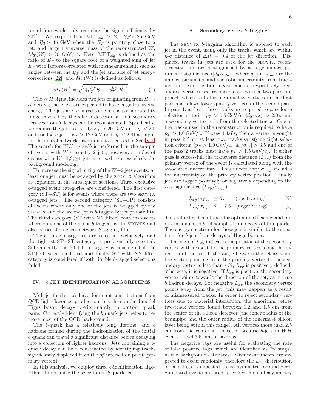tor of four while only reducing the signal efficiency by 20%. We require that  $MET_{sig} > 2$ ,  $E_T > 25$  GeV and  $E_T > 45$  GeV when the  $E_T$  is pointing close to a jet, and large transverse mass of the reconstructed W,  $M_T(W) > 20 \text{ GeV}/c^2$ . Here, MET<sub>sig</sub> is defined as the ratio of  $E_T$  to the square root of a weighted sum of jet  $E_T$  with factors correlated with mismeasurement, such as angles between the  $E_T$  and the jet and size of jet energy corrections [\[22](#page-13-21)], and  $M_T(W)$  is defined as follows:

$$
M_T(W) = \sqrt{2(p_T^{lep} \not\!\!E_T - \vec{p}_T^{dep} \cdot \vec{E}_T)},\tag{1}
$$

The WH signal includes two jets originating from  $H \to$  $b\bar{b}$  decays; these jets are expected to have large transverse energy. The jets are required to be in the pseudorapidity range covered by the silicon detector so that secondary vertices from b decays can be reconstructed. Specifically, we require the jets to satisfy  $E_T > 20$  GeV and  $|\eta| < 2.0$ and use loose jets  $(E_T > 12 \text{ GeV}$  and  $|\eta| < 2.4$ ) as input for the neural network discriminant discussed in Sec. [VII.](#page-10-0) The search for  $WH \rightarrow \ell \nu b\bar{b}$  is performed in the sample of events with  $W+$  exactly 2 jets; however, samples of events with  $W+1,3,\geq 4$  jets are used to cross-check the background modeling.

To increase the signal purity of the  $W+2$  jets events, at least one jet must be  $b$ -tagged by the  $SECVTX$  algorithm as explained in the subsequent sections. Three exclusive b-tagged event categories are considered. The first category  $(ST+ST)$  is for events where there are two  $SECVTX$ b-tagged jets. The second category (ST+JP) consists of events where only one of the jets is b-tagged by the secvtx and the second jet is b-tagged by jet probability. The third category (ST with NN filter) contains events where only one of the jets is  $b$ -tagged by the  $SECVTX$  and also passes the neural network b-tagging filter.

These three categories are selected exclusively and the tightest ST+ST category is preferentially selected. Subsequently the ST+JP category is considered if the ST+ST selection failed and finally ST with NN filter category is considered if both double b-tagged selections failed.

# <span id="page-5-0"></span>IV. b JET IDENTIFICATION ALGORITHMS

Multijet final states have dominant contributions from QCD light-flavor jet production, but the standard model Higgs boson decays predominantly to bottom quark pairs. Correctly identifying the b quark jets helps to remove most of the QCD background.

The b-quark has a relatively long lifetime, and b hadrons formed during the hadronization of the initial b quark can travel a significant distance before decaying into a collection of lighter hadrons. Jets containing a bquark decay can be reconstructed by identifying tracks significantly displaced from the  $p\bar{p}$  interaction point (primary vertex).

In this analysis, we employ three b-identification algorithms to optimize the selection of b-quark jets.

## <span id="page-5-1"></span>Secondary Vertex  $b$ -Tagging

The  $SECVTX$   $b$ -tagging algorithm is applied to each jet in the event, using only the tracks which are within  $\eta$ - $\phi$  distance of  $\Delta R = 0.4$  of the jet direction. Displaced tracks in jets are used for the SECVTX reconstruction and are distinguished by a large impact parameter significance  $(|d_0/\sigma_{d_0}|)$ , where  $d_0$  and  $\sigma_{d_0}$  are the impact parameter and the total uncertainty from tracking and beam position measurements, respectively. Secondary vertices are reconstructed with a two-pass approach which tests for high-quality vertices in the first pass and allows lower-quality vertices in the second pass. In pass 1, at least three tracks are required to pass loose selection criteria  $(p_T > 0.5 \,\text{GeV}/c, |d_0/\sigma_{d_0}| > 2.0)$ , and a secondary vertex is fit from the selected tracks. One of the tracks used in the reconstruction is required to have  $p_T > 1.0 \,\text{GeV}/c$ . If pass 1 fails, then a vertex is sought in pass 2 from at least two tracks satisfying tight selection criteria  $(p_T > 1.0 \,\text{GeV}/c, |d_0/\sigma_{d_0}| > 3.5$  and one of the pass 2 tracks must have  $p_T > 1.5 \,\text{GeV}/c$ . If either pass is successful, the transverse distance  $(L_{xy})$  from the primary vertex of the event is calculated along with the associated uncertainty. This uncertainty  $\sigma_{L_{xy}}$  includes the uncertainty on the primary vertex position. Finally jets are tagged positively or negatively depending on the  $L_{xy}$  significance  $(L_{xy}/\sigma_{L_{xy}})$ :

$$
L_{xy}/\sigma_{L_{xy}} \geq 7.5 \qquad \text{(positive tag)} \tag{2}
$$

$$
L_{xy}/\sigma_{L_{xy}} \leq -7.5 \quad \text{(negative tag)} \tag{3}
$$

This value has been tuned for optimum efficiency and purity in simulated b-jet samples from decays of top quarks. The energy spectrum for those jets is similar to the spectrum for b jets from decays of Higgs bosons.

The sign of  $L_{xy}$  indicates the position of the secondary vertex with respect to the primary vertex along the direction of the jet. If the angle between the jet axis and the vector pointing from the primary vertex to the secondary vertex is less than  $\pi/2$ ,  $L_{xy}$  is positively defined; otherwise, it is negative. If  $L_{xy}$  is positive, the secondary vertex points towards the direction of the jet, as in true b hadron decays. For negative  $L_{xy}$  the secondary vertex points away from the jet; this may happen as a result of mismeasured tracks. In order to reject secondary vertices due to material interaction, the algorithm vetoes two-track vertices found between 1.2 and 1.5 cm from the center of the silicon detector (the inner radius of the beampipe and the outer radius of the innermost silicon layer being within this range). All vertices more than 2.5 cm from the center are rejected because  $b$ -jets in  $WH$ events travel 3.5 mm on average.

The negative tags are useful for evaluating the rate of false positive tags, which are identified as "mistags" in the background estimates. Mismeasurements are expected to occur randomly; therefore the  $L_{xy}$  distribution of fake tags is expected to be symmetric around zero. Simulated events are used to correct a small asymmetry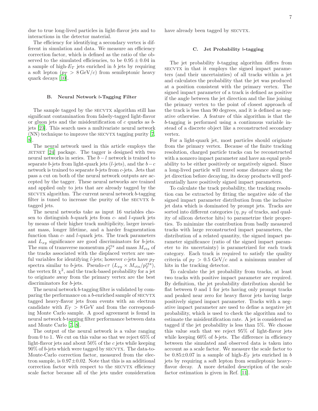due to true long-lived particles in light-flavor jets and to interactions in the detector material.

The efficiency for identifying a secondary vertex is different in simulation and data. We measure an efficiency correction factor, which is defined as the ratio of the observed to the simulated efficiencies, to be  $0.95 \pm 0.04$  in a sample of high- $E_T$  jets enriched in b jets by requiring a soft lepton  $(p_T > 8 \,\text{GeV}/c)$  from semileptonic heavy quark decays [\[10\]](#page-13-9).

#### B. Neural Network b-Tagging Filter

The sample tagged by the SECVTX algorithm still has significant contamination from falsely-tagged light-flavor or gluon jets and the misidentification of  $c$  quarks as  $b$ jets [\[23](#page-13-22)]. This search uses a multivariate neural network  $(NN)$  technique to improve the SECVTX tagging purity [\[7](#page-13-6), [8](#page-13-7)].

The neural network used in this article employs the JETNET  $[24]$  $[24]$  package. The tagger is designed with two neural networks in series. The  $b - l$  network is trained to separate b-jets from light-quark jets (l-jets), and the  $b-c$ network is trained to separate b-jets from c-jets. Jets that pass a cut on both of the neural network outputs are accepted by the tagger. These neural networks are trained and applied only to jets that are already tagged by the  $SECVTX$  algorithm. The current neural network  $b$ -tagging filter is tuned to increase the purity of the  $SECVTX$  btagged jets.

The neural networks take as input 16 variables chosen to distinguish b-quark jets from  $c$ - and  $l$ -quark jets by means of their higher track multiplicity, larger invariant mass, longer lifetime, and a harder fragmentation function than  $c$ - and  $l$ -quark jets. The track parameters and  $L_{xy}$  significance are good discriminators for b-jets. The sum of transverse momentum  $p_T^{\text{vtx}}$  and mass  $M_{\text{vtx}}$  of the tracks associated with the displaced vertex are useful variables for identifying *l*-jets; however *c*-jets have  $p_T$ spectra similar to b-jets. Pseudo- $c\tau$   $(L_{xy} \times M_{\text{vtx}}/p_T^{\text{vtx}})$ , the vertex fit  $\chi^2$ , and the track-based probability for a jet to originate away from the primary vertex are the best discriminators for b-jets.

The neural network b-tagging filter is validated by comparing the performance on a b-enriched sample of SECVTX tagged heavy-flavor jets from events with an electron candidate with  $E_T > 8 \,\text{GeV}$  and from the corresponding Monte Carlo sample. A good agreement is found in neural network b-tagging filter performance between data and Monte Carlo [\[7](#page-13-6), [8](#page-13-7)].

The output of the neural network is a value ranging from 0 to 1. We cut on this value so that we reject 65% of light-flavor jets and about  $50\%$  of the c jets while keeping  $90\%$  of b-jets which were tagged by SECVTX. The data-to-Monte-Carlo correction factor, measured from the electron sample, is  $0.97 \pm 0.02$ . Note that this is an additional correction factor with respect to the SECVTX efficiency scale factor because all of the jets under consideration have already been tagged by SECVTX.

#### <span id="page-6-0"></span>C. Jet Probability b-tagging

The jet probability b-tagging algorithm differs from secvtx in that it employs the signed impact parameters (and their uncertainties) of all tracks within a jet and calculates the probability that the jet was produced at a position consistent with the primary vertex. The signed impact parameter of a track is defined as positive if the angle between the jet direction and the line joining the primary vertex to the point of closest approach of the track is less than 90 degrees, and it is defined as negative otherwise. A feature of this algorithm is that the b-tagging is performed using a continuous variable instead of a discrete object like a reconstructed secondary vertex.

For a light-quark jet, most particles should originate from the primary vertex. Because of the finite tracking resolution, charged particle tracks can be reconstructed with a nonzero impact parameter and have an equal probability to be either positively or negatively signed. Since a long-lived particle will travel some distance along the jet direction before decaying, its decay products will preferentially have positively signed impact parameters.

To calculate the track probability, the tracking resolution can be extracted by fitting the negative side of the signed impact parameter distribution from the inclusive jet data which is dominated by prompt jets. Tracks are sorted into different categories  $(\eta, p_T)$  of tracks, and quality of silicon detector hits) to parametrize their properties. To minimize the contribution from badly measured tracks with large reconstructed impact parameters, the distribution of a related quantity, the signed impact parameter significance (ratio of the signed impact parameter to its uncertainty) is parametrized for each track category. Each track is required to satisfy the quality criteria of  $p_T > 0.5 \text{ GeV}/c$  and a minimum number of hits in the tracking detector.

To calculate the jet probability from tracks, at least two tracks with positive impact parameter are required. By definition, the jet probability distribution should be flat between 0 and 1 for jets having only prompt tracks and peaked near zero for heavy flavor jets having large positively signed impact parameter. Tracks with a negative impact parameter are used to define a negative jet probability, which is used to check the algorithm and to estimate the misidentification rate. A jet is considered as tagged if the jet probability is less than 5%. We choose this value such that we reject 95% of light-flavor jets while keeping  $60\%$  of b-jets. The difference in efficiency between the simulated and observed data is taken into account as a scale factor. We measure the scale factor to be  $0.85\pm0.07$  in a sample of high- $E_T$  jets enriched in b jets by requiring a soft lepton from semileptonic heavyflavor decay. A more detailed description of the scale factor estimation is given in Ref. [\[11\]](#page-13-10).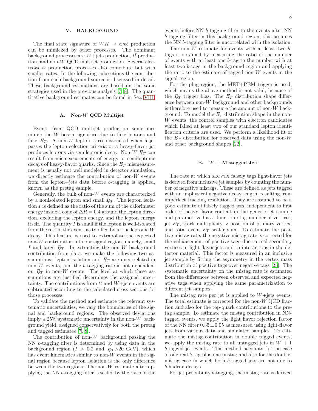# <span id="page-7-0"></span>V. BACKGROUND

The final state signature of  $WH \rightarrow \ell \nu b\bar{b}$  production can be mimicked by other processes. The dominant background processes are  $W+$ jets production,  $t\bar{t}$  production, and non-W QCD multijet production. Several electroweak production processes also contribute but with smaller rates. In the following subsections the contribution from each background source is discussed in detail. These background estimations are based on the same strategies used in the previous analysis [\[7,](#page-13-6) [8](#page-13-7)]. The quantitative background estimates can be found in Sec. [VIII.](#page-11-0)

# A. Non-W QCD Multijet

Events from QCD multijet production sometimes mimic the W-boson signature due to fake leptons and fake  $E_T$ . A non-W lepton is reconstructed when a jet passes the lepton selection criteria or a heavy-flavor jet produces leptons via semileptonic decay. Non-W  $E_T$  can result from mismeasurements of energy or semileptonic decays of heavy-flavor quarks. Since the  $E_T$  mismeasurement is usually not well modeled in detector simulation, we directly estimate the contribution of non-W events from the lepton+jets data before b-tagging is applied, known as the pretag sample.

Generally, the bulk of non- $W$  events are characterized by a nonisolated lepton and small  $E_T$ . The lepton isolation I is defined as the ratio of the sum of the calorimeter energy inside a cone of  $\Delta R = 0.4$  around the lepton direction, excluding the lepton energy, and the lepton energy itself. The quantity  $I$  is small if the lepton is well-isolated from the rest of the event, as typified by a true leptonic W decay. This feature is used to extrapolate the expected non-W contribution into our signal region, namely, small I and large  $E_T$ . In extracting the non-W background contribution from data, we make the following two assumptions: lepton isolation and  $E_T$  are uncorrelated in non- $W$  events, and the  $b$ -tagging rate is not dependent on  $E_T$  in non-W events. The level at which these assumptions are justified determines the assigned uncertainty. The contributions from  $t\bar{t}$  and  $W+$ jets events are subtracted according to the calculated cross sections for those processes.

To validate the method and estimate the relevant systematic uncertainties, we vary the boundaries of the signal and background regions. The observed deviations imply a  $25\%$  systematic uncertainty in the non-W background yield, assigned conservatively for both the pretag and tagged estimates [\[7](#page-13-6), [8](#page-13-7)].

The contribution of non- $W$  background passing the NN b-tagging filter is determined by using data in the background region  $(I > 0.2$  and  $E_T > 20$  GeV), which has event kinematics similar to non- $W$  events in the signal region because lepton isolation is the only difference between the two regions. The non- $W$  estimate after applying the NN b-tagging filter is scaled by the ratio of the

events before NN b-tagging filter to the events after NN b-tagging filter in this background region; this assumes the NN b-tagging filter is uncorrelated with the isolation.

The non- $W$  estimate for events with at least two  $b$ tags is obtained by measuring the ratio of the number of events with at least one b-tag to the number with at least two b-tags in the background region and applying the ratio to the estimate of tagged non- $W$  events in the signal region.

For the plug region, the MET+PEM trigger is used, which means the above method is not valid, because of the  $E_T$  trigger bias. The  $E_T$  distribution shape difference between non-W background and other backgrounds is therefore used to measure the amount of non-W background. To model the  $E_T$  distribution shape in the non-W events, the control samples with electron candidates which failed at least two of our standard lepton identification criteria are used. We perform a likelihood fit of the  $E_T$  distribution for observed data using the non-W and other background shapes [\[22\]](#page-13-21).

#### B.  $W +$  Mistagged Jets

The rate at which SECVTX falsely tags light-flavor jets is derived from inclusive jet samples by counting the number of negative mistags. These are defined as jets tagged with an unphysical negative decay length, resulting from imperfect tracking resolution. They are assumed to be a good estimate of falsely tagged jets, independent to first order of heavy-flavor content in the generic jet sample and parametrized as a function of  $\eta$ , number of vertices, jet  $E_T$ , track multiplicity, z position of primary vertex, and total event  $E_T$  scalar sum. To estimate the positive mistag rate, the negative mistag rate is corrected for the enhancement of positive tags due to real secondary vertices in light-flavor jets and to interactions in the detector material. This factor is measured in an inclusive jet sample by fitting the asymmetry in the vertex mass distribution of positive tags over negative tags [\[25\]](#page-13-24). The systematic uncertainty on the mistag rate is estimated from the differences between observed and expected negative tags when applying the same parametrization to different jet samples.

The mistag rate per jet is applied to  $W +$ jets events. The total estimate is corrected for the non-W QCD fraction and also for the top-quark contributions to the pretag sample. To estimate the mistag contribution in NNtagged events, we apply the light flavor rejection factor of the NN filter  $0.35 \pm 0.05$  as measured using light-flavor jets from various data and simulated samples. To estimate the mistag contribution in double tagged events, we apply the mistag rate to all untagged jets in  $W + 1$ b-tagged jet events. This method accounts for the case of one real b-tag plus one mistag and also for the doublemistag case in which both b-tagged jets are not due to b-hadron decays.

For jet probability b-tagging, the mistag rate is derived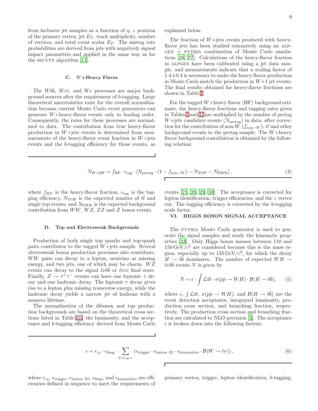from inclusive jet samples as a function of  $\eta$ , z position of the primary vertex, jet  $E_T$ , track multiplicity, number of vertices, and total event scalar  $E_T$ . The mistag rate probabilities are derived from jets with negatively signed impact parameters and applied in the same way as for the  $SECVTX$  algorithm [\[11\]](#page-13-10).

#### C. W+Heavy Flavor

The  $W b\bar{b}$ ,  $W c\bar{c}$ , and  $W c$  processes are major background sources after the requirement of b-tagging. Large theoretical uncertainties exist for the overall normalization because current Monte Carlo event generators can generate W+heavy-flavor events only to leading order. Consequently, the rates for these processes are normalized to data. The contribution from true heavy-flavor production in  $W +$ jets events is determined from measurements of the heavy-flavor event fraction in  $W +$ jets events and the b-tagging efficiency for those events, as explained below.

The fraction of  $W+$ jets events produced with heavyflavor jets has been studied extensively using an alpgen + pythia combination of Monte Carlo simulations [\[26,](#page-13-25) [27\]](#page-13-26). Calculations of the heavy-flavor fraction in ALPGEN have been calibrated using a jet data sample, and measurements indicate that a scaling factor of  $1.4\pm0.4$  is necessary to make the heavy-flavor production in Monte Carlo match the production in  $W+1$  jet events. The final results obtained for heavy-flavor fractions are shown in Table [I.](#page-9-0)

For the tagged  $W +$ heavy flavor  $(HF)$  background estimate, the heavy-flavor fractions and tagging rates given in Tables [I](#page-9-0) and [II](#page-9-1) are multiplied by the number of pretag  $W + \text{jets}$  candidate events  $(N_{\text{pretag}})$  in data, after correction for the contribution of non-W  $(f_{\text{non}-W})$ ,  $t\bar{t}$  and other background events to the pretag sample. The  $W +$ heavy flavor background contribution is obtained by the following relation:

$$
N_{W + HF} = f_{HF} \cdot \epsilon_{\text{tag}} \cdot [N_{\text{pretag}} \cdot (1 - f_{\text{non}-W}) - N_{\text{TOP}} - N_{\text{EWK}}],
$$
\n(4)

where  $f_{HF}$  is the heavy-flavor fraction,  $\epsilon_{\text{tag}}$  is the tagging efficiency,  $N_{\text{TOP}}$  is the expected number of  $t\bar{t}$  and single top events, and  $N_{\text{EWK}}$  is the expected background contribution from  $WW, WZ, ZZ$  and  $Z$  boson events.

#### D. Top and Electroweak Backgrounds

Production of both single top quarks and top-quark pairs contributes to the tagged  $W+$ jets sample. Several electroweak boson production processes also contribute. WW pairs can decay to a lepton, neutrino as missing energy, and two jets, one of which may be charm.  $WZ$ events can decay to the signal  $\ell\nu b\bar{b}$  or  $\ell\nu c\bar{c}$  final state. Finally,  $Z \rightarrow \tau^+\tau^-$  events can have one leptonic  $\tau$  decay and one hadronic decay. The leptonic  $\tau$  decay gives rise to a lepton plus missing transverse energy, while the hadronic decay yields a narrow jet of hadrons with a nonzero lifetime.

The normalization of the diboson and top production backgrounds are based on the theoretical cross sections listed in Table [III,](#page-9-2) the luminosity, and the acceptance and b-tagging efficiency derived from Monte Carlo events [\[21,](#page-13-20) [28,](#page-13-27) [29,](#page-13-28) [30](#page-13-29)]. The acceptance is corrected for lepton identification, trigger efficiencies, and the z vertex cut. The tagging efficiency is corrected by the b-tagging scale factor.

# <span id="page-8-0"></span>VI. HIGGS BOSON SIGNAL ACCEPTANCE

The PYTHIA Monte Carlo generator is used to generate the signal samples and study the kinematic properties [\[33](#page-14-0)]. Only Higgs boson masses between 110 and  $150 \,\mathrm{GeV}/c^2$  are considered because this is the mass region, especially up to  $135 \,\text{GeV}/c^2$ , for which the decay  $H \rightarrow b\bar{b}$  dominates. The number of expected  $WH \rightarrow$  $\ell\nu b\bar{b}$  events N is given by

<span id="page-8-1"></span>
$$
N = \epsilon \cdot \int \mathcal{L}dt \cdot \sigma(p\bar{p} \to WH) \cdot \mathcal{B}(H \to b\bar{b}), \qquad (5)
$$

where  $\epsilon$ ,  $\int \mathcal{L}dt$ ,  $\sigma(p\bar{p} \to WH)$ , and  $\mathcal{B}(H \to b\bar{b})$  are the event detection acceptance, integrated luminosity, production cross section, and branching fraction, respectively. The production cross section and branching fraction are calculated to NLO precision [\[5](#page-13-4)]. The acceptance  $\epsilon$  is broken down into the following factors:

$$
\epsilon = \epsilon_{z_0} \cdot \epsilon_{b \text{tag}} \cdot \sum_{\ell = e, \mu, \tau} \left( \epsilon_{\text{trigger}} \cdot \epsilon_{\text{lepton ID}} \cdot \epsilon_{\text{kinematics}} \cdot \mathcal{B}(W \to \ell \nu) \right), \tag{6}
$$

where  $\epsilon_{z_0}$ ,  $\epsilon_{\text{trigger}}$ ,  $\epsilon_{\text{lepton ID}}$ ,  $\epsilon_{\text{btag}}$ , and  $\epsilon_{\text{kinematics}}$  are efficiencies defined in sequence to meet the requirements of primary vertex, trigger, lepton identification, b-tagging,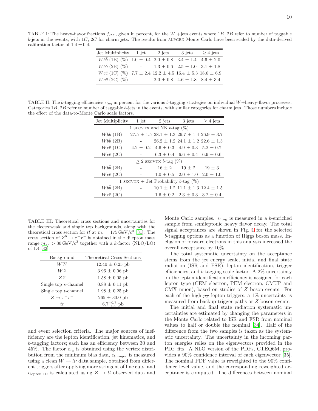<span id="page-9-0"></span>TABLE I: The heavy-flavor fractions  $f_{HF}$ , given in percent, for the W +jets events where 1B, 2B refer to number of taggable  $b$ -jets in the events, with 1C, 2C for charm jets. The results from ALPGEN Monte Carlo have been scaled by the data-derived calibration factor of  $1.4 \pm 0.4$ .

| Jet Multiplicity                                                             | 1 jet               | 2 jets | 3 jets                                    | $>4$ jets |
|------------------------------------------------------------------------------|---------------------|--------|-------------------------------------------|-----------|
| $Wb\bar{b}$ (1B) (%) 1.0 $\pm$ 0.4 2.0 $\pm$ 0.8 3.4 $\pm$ 1.4 4.6 $\pm$ 2.0 |                     |        |                                           |           |
| $Wb\bar{b}$ (2B) (%)                                                         | $\omega_{\rm{max}}$ |        | $1.3 \pm 0.6$ $2.5 \pm 1.0$ $3.1 \pm 1.8$ |           |
| $Wc\bar{c}$ (1C) (%) 7.7 ± 2.4 12.2 ± 4.5 16.4 ± 5.3 18.6 ± 6.9              |                     |        |                                           |           |
| $Wc\bar{c}$ (2C) (%)                                                         | $\sim$ 100 $\mu$    |        | $2.0 \pm 0.8$ 4.6 $\pm$ 1.8 8.4 $\pm$ 3.4 |           |

<span id="page-9-1"></span>TABLE II: The b-tagging efficiencies  $\epsilon_{taq}$  in percent for the various b-tagging strategies on individual W+heavy-flavor processes. Categories 1B, 2B refer to number of taggable b-jets in the events, with similar categories for charm jets. Those numbers include the effect of the data-to-Monte Carlo scale factors.

| Jet Multiplicity          | 1 jet | $2$ jets                                                    | 3 jets                                       | $> 4$ jets |  |  |  |
|---------------------------|-------|-------------------------------------------------------------|----------------------------------------------|------------|--|--|--|
|                           |       | 1 SECVTX and NN $b$ -tag $(\%)$                             |                                              |            |  |  |  |
| $Wb\bar{b}$ (1B)          |       | $27.5 \pm 1.5$ $28.1 \pm 1.3$ $26.7 \pm 1.4$ $26.9 \pm 3.7$ |                                              |            |  |  |  |
| $Wb\bar{b}$ (2B)          |       |                                                             | $26.2 \pm 1.2$ 24.1 $\pm$ 1.2 22.6 $\pm$ 1.3 |            |  |  |  |
| $Wc\bar{c}$ (1C)          |       | $4.2 \pm 0.2$ $4.6 \pm 0.3$ $4.9 \pm 0.3$ $5.2 \pm 0.7$     |                                              |            |  |  |  |
| $Wc\bar{c}$ (2C)          |       |                                                             | $6.3 \pm 0.4$ $6.6 \pm 0.4$ $6.9 \pm 0.6$    |            |  |  |  |
| $> 2$ SECVTX b-tag $(\%)$ |       |                                                             |                                              |            |  |  |  |
| $Wb\bar{b}$ (2B)          |       |                                                             | $16 \pm 2$ $19 \pm 2$                        | $19 \pm 3$ |  |  |  |
| $Wc\bar{c}$ (2C)          |       |                                                             | $1.0 \pm 0.5$ $2.0 \pm 1.0$ $2.0 \pm 1.0$    |            |  |  |  |
|                           |       | 1 SECVTX + Jet Probability b-tag $(\%)$                     |                                              |            |  |  |  |
| $Wb\bar{b}$ (2B)          |       |                                                             | $10.1 \pm 1.2$ $11.1 \pm 1.3$ $12.4 \pm 1.5$ |            |  |  |  |
| $Wc\bar{c}$ (2C)          |       |                                                             | $1.6 \pm 0.2$ $2.3 \pm 0.3$ $3.2 \pm 0.4$    |            |  |  |  |

<span id="page-9-2"></span>TABLE III: Theoretical cross sections and uncertainties for the electroweak and single top backgrounds, along with the theoretical cross section for  $t\bar{t}$  at  $m_t = 175 \,\text{GeV}/c^2$  [\[31\]](#page-14-1). The cross section of  $Z^0 \to \tau^+ \tau^-$  is obtained in the dilepton mass range  $m_{\tau\tau} > 30 \,\text{GeV}/c^2$  together with a k-factor (NLO/LO) of 1.4 [\[32](#page-14-2)]

| Background                    | Theoretical Cross Sections |
|-------------------------------|----------------------------|
| WW                            | $12.40 \pm 0.25$ pb        |
| WΖ                            | $3.96 \pm 0.06$ pb         |
| ZZ                            | $1.58 \pm 0.05$ pb         |
| Single top s-channel          | $0.88 \pm 0.11$ pb         |
| Single top $t$ -channel       | $1.98 \pm 0.25$ pb         |
| $Z \rightarrow \tau^+ \tau^-$ | $265 \pm 30.0$ pb          |
| tŦ                            | $6.7^{+0.7}_{-0.9}$ pb     |

and event selection criteria. The major sources of inefficiency are the lepton identification, jet kinematics, and b-tagging factors; each has an efficiency between 30 and 45%. The factor  $\epsilon_{z_0}$  is obtained using the vertex distribution from the minimum bias data,  $\epsilon_{trigger}$  is measured using a clean  $W \to l\nu$  data sample, obtained from different triggers after applying more stringent offline cuts, and  $\epsilon_{\rm lepton ID}$  is calculated using  $Z \rightarrow ll$  observed data and

Monte Carlo samples.  $\epsilon_{btag}$  is measured in a b-enriched sample from semileptonic heavy flavor decay. The total signal acceptances are shown in Fig. [1](#page-10-1) for the selected b-tagging options as a function of Higgs boson mass. Inclusion of forward electrons in this analysis increased the overall acceptance by 10%.

The total systematic uncertainty on the acceptance stems from the jet energy scale, initial and final state radiation (ISR and FSR), lepton identification, trigger efficiencies, and b-tagging scale factor. A 2% uncertainty on the lepton identification efficiency is assigned for each lepton type (CEM electron, PEM electron, CMUP and CMX muon), based on studies of Z boson events. For each of the high  $p_T$  lepton triggers, a 1% uncertainty is measured from backup trigger paths or Z boson events.

The initial and final state radiation systematic uncertainties are estimated by changing the parameters in the Monte Carlo related to ISR and FSR from nominal values to half or double the nominal [\[34](#page-14-3)]. Half of the difference from the two samples is taken as the systematic uncertainty. The uncertainty in the incoming parton energies relies on the eigenvectors provided in the PDF fits. A NLO version of the PDFs, CTEQ6M, provides a 90% confidence interval of each eigenvector [\[35\]](#page-14-4). The nominal PDF value is reweighted to the 90% confidence level value, and the corresponding reweighted acceptance is computed. The differences between nominal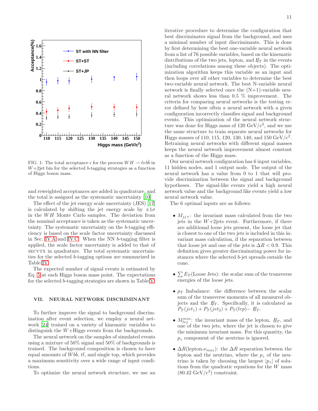

<span id="page-10-1"></span>FIG. 1: The total acceptance  $\epsilon$  for the process  $WH \rightarrow \ell\nu bb$  in  $W+2$ jet bin for the selected b-tagging strategies as a function of Higgs boson mass.

and reweighted acceptances are added in quadrature, and the total is assigned as the systematic uncertainty [\[10\]](#page-13-9).

The effect of the jet energy scale uncertainty (JES) [\[17](#page-13-16)] is calculated by shifting the jet energy scale by  $\pm 1\sigma$ in the  $WH$  Monte Carlo samples. The deviation from the nominal acceptance is taken as the systematic uncertainty. The systematic uncertainty on the b-tagging efficiency is based on the scale factor uncertainty discussed in Sec. [IV A](#page-5-1) and [IV C.](#page-6-0) When the NN b-tagging filter is applied, the scale factor uncertainty is added to that of secvtx in quadrature. The total systematic uncertainties for the selected b-tagging options are summarized in Table [IV.](#page-11-1)

The expected number of signal events is estimated by Eq. [5](#page-8-1) at each Higgs boson mass point. The expectations for the selected b-tagging strategies are shown in Table [V.](#page-11-2)

# <span id="page-10-0"></span>VII. NEURAL NETWORK DISCRIMINANT

To further improve the signal to background discrimination after event selection, we employ a neural network [\[24\]](#page-13-23) trained on a variety of kinematic variables to distinguish the  $W+Higgs$  events from the backgrounds.

The neural network on the samples of simulated events using a mixture of 50% signal and 50% of backgrounds is trained. The background composition is chosen to have equal amounts of Wbb,  $t\bar{t}$ , and single top, which provides a maximum sensitivity over a wide range of input conditions.

To optimize the neural network structure, we use an

iterative procedure to determine the configuration that best discriminates signal from the background, and uses a minimal number of input discriminants. This is done by first determining the best one-variable neural network from a list of 76 possible variables, based on the kinematic distributions of the two jets, lepton, and  $E_T$  in the events (including correlations among these objects). The optimization algorithm keeps this variable as an input and then loops over all other variables to determine the best two-variable neural network. The best N-variable neural network is finally selected once the  $(N+1)$ -variable neural network shows less than 0.5 % improvement. The criteria for comparing neural networks is the testing error defined by how often a neural network with a given configuration incorrectly classifies signal and background events. This optimization of the neural network structure was done for Higgs mass of  $120 \text{ GeV}/c^2$ , and we use the same structure to train separate neural networks for Higgs masses of 110, 115, 120, 130, 140, and 150  $\text{GeV/c}^2$ . Retraining neural networks with different signal masses keeps the neural network improvement almost constant as a function of the Higgs mass.

Our neural network configuration has 6 input variables, 11 hidden nodes, and 1 output node. The output of the neural network has a value from 0 to 1 that will provide discrimination between the signal and background hypotheses. The signal-like events yield a high neural network value and the background like events yield a low neural network value.

The 6 optimal inputs are as follows:

- $M_{jj+}$ : the invariant mass calculated from the two jets in the  $W+2$ jets event. Furthermore, if there are additional loose jets present, the loose jet that is closest to one of the two jets is included in this invariant mass calculation, if the separation between that loose jet and one of the jets is  $\Delta R < 0.9$ . This definition gives greater discriminating power for instances where the selected b-jet spreads outside the cone.
- $\sum E_T$ (Loose Jets): the scalar sum of the transverse energies of the loose jets.
- $p_T$  Imbalance: the difference between the scalar sum of the transverse momenta of all measured objects and the  $E_T$ . Specifically, it is calculated as  $P_T(jet_1) + P_T(jet_2) + P_T(lep) - E_T.$
- $M_{l\nu j}^{min}$ : the invariant mass of the lepton,  $E_T$ , and one of the two jets, where the jet is chosen to give the minimum invariant mass. For this quantity, the  $p<sub>z</sub>$  component of the neutrino is ignored.
- $\Delta R$ (lepton- $\nu_{max}$ ): the  $\Delta R$  separation between the lepton and the neutrino, where the  $p_z$  of the neutrino is taken by choosing the largest  $|p_z|$  of solutions from the quadratic equations for the W mass  $(80.42 \text{ GeV}/c^2)$  constraint.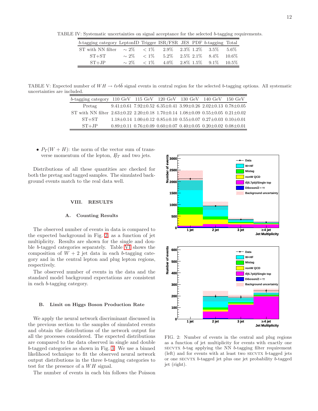TABLE IV: Systematic uncertainties on signal acceptance for the selected b-tagging requirements.

<span id="page-11-1"></span>

| b-tagging category LeptonID Trigger ISR/FSR JES PDF b-tagging Total            |            |         |  |                                          |  |
|--------------------------------------------------------------------------------|------------|---------|--|------------------------------------------|--|
| ST with NN filter $\sim 2\%$ $\lt 1\%$ $2.9\%$ $2.3\%$ $1.2\%$ $3.5\%$ $5.6\%$ |            |         |  |                                          |  |
| $ST+ST$                                                                        | $\sim 2\%$ | $< 1\%$ |  | $5.2\%$ $2.5\%$ $2.1\%$ $8.4\%$ $10.6\%$ |  |
| $ST+JP$                                                                        | $\sim$ 2%  | $< 1\%$ |  | $4.0\%$ $2.8\%$ $1.5\%$ $9.1\%$ $10.5\%$ |  |

TABLE V: Expected number of  $WH \rightarrow \ell \nu b\bar{b}$  signal events in central region for the selected b-tagging options. All systematic uncertainties are included.

<span id="page-11-2"></span>

| $b$ -tagging category 110 GeV 115 GeV 120 GeV 130 GeV 140 GeV 150 GeV                                 |  |                                                                                     |  |
|-------------------------------------------------------------------------------------------------------|--|-------------------------------------------------------------------------------------|--|
| Pretag                                                                                                |  | $9.41\pm0.61$ $7.92\pm0.52$ $6.35\pm0.41$ $3.99\pm0.26$ $2.02\pm0.13$ $0.78\pm0.05$ |  |
| ST with NN filter $2.63\pm0.22$ $2.20\pm0.18$ $1.70\pm0.14$ $1.08\pm0.09$ $0.55\pm0.05$ $0.21\pm0.02$ |  |                                                                                     |  |
| $ST+ST$                                                                                               |  | $1.18\pm0.14$ $1.00\pm0.12$ $0.85\pm0.10$ $0.55\pm0.07$ $0.27\pm0.03$ $0.10\pm0.01$ |  |
| $ST+JP$                                                                                               |  | $0.89\pm0.11$ $0.76\pm0.09$ $0.60\pm0.07$ $0.40\pm0.05$ $0.20\pm0.02$ $0.08\pm0.01$ |  |

•  $P_T(W + H)$ : the norm of the vector sum of transverse momentum of the lepton,  $E_T$  and two jets.

Distributions of all these quantities are checked for both the pretag and tagged samples. The simulated background events match to the real data well.

#### <span id="page-11-0"></span>VIII. RESULTS

## A. Counting Results

The observed number of events in data is compared to the expected background in Fig. [2,](#page-11-3) as a function of jet multiplicity. Results are shown for the single and double b-tagged categories separately. Table [VI](#page-12-1) shows the composition of  $W + 2$  jet data in each b-tagging category and in the central lepton and plug lepton regions, respectively.

The observed number of events in the data and the standard model background expectations are consistent in each b-tagging category.

# B. Limit on Higgs Boson Production Rate

We apply the neural network discriminant discussed in the previous section to the samples of simulated events and obtain the distributions of the network output for all the processes considered. The expected distributions are compared to the data observed in single and double b-tagged categories as shown in Fig. [3.](#page-15-0) We use a binned likelihood technique to fit the observed neural network output distributions in the three b-tagging categories to test for the presence of a  $WH$  signal.

The number of events in each bin follows the Poisson



<span id="page-11-3"></span>FIG. 2: Number of events in the central and plug regions as a function of jet multiplicity for events with exactly one  $SECVTX$  *b*-tag applying the NN *b*-tagging filter requirement  $(left)$  and for events with at least two SECVTX b-tagged jets or one  $SECVTX$  *b*-tagged jet plus one jet probability *b*-tagged jet (right).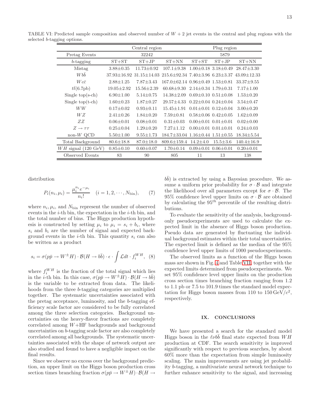<span id="page-12-1"></span>

|                           | Central region                |                                 |                                                   | Plug region                     |                                 |                  |
|---------------------------|-------------------------------|---------------------------------|---------------------------------------------------|---------------------------------|---------------------------------|------------------|
| Pretag Events             | 32242                         |                                 |                                                   | 5879                            |                                 |                  |
| $b$ -tagging              | $ST+ST$<br>$ST+JP$<br>$ST+NN$ |                                 | $ST+ST$                                           | $ST+JP$                         | $ST+NN$                         |                  |
| Mistag                    | $3.88 \pm 0.35$               | $11.73 \pm 0.92$                | $107.1 \pm 9.38$                                  |                                 | $1.00 \pm 0.18$ $3.18 \pm 0.49$ | $28.47 \pm 3.30$ |
| <b>W</b> bb               |                               | $37.93 + 16.92$ $31.15 + 14.03$ | $215.6 + 92.34$ 7.40 + 3.96 6.23 + 3.37           |                                 |                                 | $43.09 + 12.33$  |
| $Wc\bar{c}$               | $2.88 + 1.25$                 | $7.87 + 3.43$                   | $167.0 \pm 62.14$ $0.96 \pm 0.49$ $1.53 \pm 0.81$ |                                 |                                 | $33.37 \pm 9.55$ |
| $t\bar{t}(6.7{\rm pb})$   | $19.05 \pm 2.92$              | $15.56 \pm 2.39$                | $60.68 \pm 9.30$                                  | $2.14 + 0.34$ 1.79 + 0.31       |                                 | $7.17 \pm 1.00$  |
| Single $top(s-ch)$        | $6.90 \pm 1.00$               | $5.14 \pm 0.75$                 | $14.38 \pm 2.09$                                  |                                 | $0.69 \pm 0.10$ $0.51 \pm 0.08$ | $1.53 \pm 0.20$  |
| Single $top(t-ch)$        | $1.60 + 0.23$                 | $1.87 + 0.27$                   | $29.57 + 4.33$                                    |                                 | $0.22 \pm 0.04$ $0.24 \pm 0.04$ | $3.54 + 0.47$    |
| WW                        | $0.17 \pm 0.02$               | $0.93 \pm 0.11$                 | $15.45 + 1.91$                                    |                                 | $0.01 \pm 0.01$ $0.12 \pm 0.04$ | $3.00 + 0.20$    |
| W Z                       | $2.41 \pm 0.26$               | $1.84 \pm 0.20$                 | $7.59 \pm 0.81$                                   |                                 | $0.58 \pm 0.06$ $0.42 \pm 0.05$ | $1.62 \pm 0.09$  |
| ZZ                        | $0.06 \pm 0.01$               | $0.08 \pm 0.01$                 | $0.31 \pm 0.03$                                   | $0.00 \pm 0.01$ $0.01 \pm 0.01$ |                                 | $0.02 \pm 0.00$  |
| $Z \rightarrow \tau \tau$ | $0.25 \pm 0.04$               | $1.29 \pm 0.20$                 | $7.27 + 1.12$                                     | $0.00 \pm 0.01$ $0.01 \pm 0.01$ |                                 | $0.24 \pm 0.03$  |
| $non-W$ QCD               | $5.50 \pm 1.00$               | $9.55 \pm 1.73$                 | $184.7 \pm 33.04$ $1.16 \pm 0.44$ $1.51 \pm 0.55$ |                                 |                                 | $18.34 \pm 5.54$ |
| Total Background          | $80.6 \pm 18.8$               | $87.0 \pm 18.0$                 | $809.6 \pm 159.4$                                 | $14.2 \pm 4.0$                  | $15.5 \pm 3.6$                  | $140.4 \pm 16.9$ |
| $WH$ signal (120 GeV)     | $0.85 \pm 0.10$               | $0.60 \pm 0.07$                 | $1.70 \pm 0.14$                                   | $0.09 \pm 0.01$ $0.06 \pm 0.01$ |                                 | $0.20 \pm 0.01$  |
| Observed Events           | 83                            | 90                              | 805                                               | 11                              | 13                              | 138              |

TABLE VI: Predicted sample composition and observed number of  $W + 2$  jet events in the central and plug regions with the selected b-tagging options.

distribution

$$
P_i(n_i, \mu_i) = \frac{\mu_i^{n_i} e^{-\mu_i}}{n_i!} \quad (i = 1, 2, \cdots, N_{\text{bin}}), \tag{7}
$$

where  $n_i, \mu_i$ , and  $N_{\text{bin}}$  represent the number of observed events in the  $i$ -th bin, the expectation in the  $i$ -th bin, and the total number of bins. The Higgs production hypothesis is constructed by setting  $\mu_i$  to  $\mu_i = s_i + b_i$ , where  $s_i$  and  $b_i$  are the number of signal and expected background events in the *i*-th bin. This quantity  $s_i$  can also be written as a product

$$
s_i = \sigma(p\bar{p} \to W^{\pm}H) \cdot \mathcal{B}(H \to b\bar{b}) \cdot \epsilon \cdot \int \mathcal{L}dt \cdot f_i^{WH}, \quad (8)
$$

where  $f_i^{WH}$  is the fraction of the total signal which lies in the *i*-th bin. In this case,  $\sigma(p\bar{p} \to W^{\pm}H) \cdot \mathcal{B}(H \to b\bar{b})$ is the variable to be extracted from data. The likelihoods from the three b-tagging categories are multiplied together. The systematic uncertainties associated with the pretag acceptance, luminosity, and the b-tagging efficiency scale factor are considered to be fully correlated among the three selection categories. Background uncertainties on the heavy-flavor fractions are completely correlated among  $W+HF$  backgrounds and background uncertainties on b-tagging scale factor are also completely correlated among all backgrounds. The systematic uncertainties associated with the shape of network output are also studied and found to have a negligible impact on the final results.

Since we observe no excess over the background prediction, an upper limit on the Higgs boson production cross section times branching fraction  $\sigma(p\bar{p}\to W^{\pm}H)\cdot\mathcal{B}(H\to$ 

 $b\bar{b}$ ) is extracted by using a Bayesian procedure. We assume a uniform prior probability for  $\sigma \cdot \mathcal{B}$  and integrate the likelihood over all parameters except for  $\sigma \cdot \mathcal{B}$ . The 95% confidence level upper limits on  $\sigma \cdot \mathcal{B}$  are obtained by calculating the  $95<sup>th</sup>$  percentile of the resulting distributions.

To evaluate the sensitivity of the analysis, backgroundonly pseudoexperiments are used to calculate the expected limit in the absence of Higgs boson production. Pseudo data are generated by fluctuating the individual background estimates within their total uncertainties. The expected limit is defined as the median of the 95% confidence level upper limits of 1000 pseudoexperiments.

The observed limits as a function of the Higgs boson mass are shown in Fig. [4](#page-16-0) and Table [VII,](#page-13-30) together with the expected limits determined from pseudoexperiments. We set 95% confidence level upper limits on the production cross section times branching fraction ranging from 1.2 to 1.1 pb or 7.5 to 101.9 times the standard model expectation for Higgs boson masses from 110 to  $150 \,\mathrm{GeV}/c^2$ , respectively.

#### <span id="page-12-0"></span>IX. CONCLUSIONS

We have presented a search for the standard model Higgs boson in the  $\ell\nu b\bar{b}$  final state expected from WH production at CDF. The search sensitivity is improved significantly with respect to previous searches, by about 60% more than the expectation from simple luminosity scaling. The main improvements are using jet probability b-tagging, a multivariate neural network technique to further enhance sensitivity to the signal, and increasing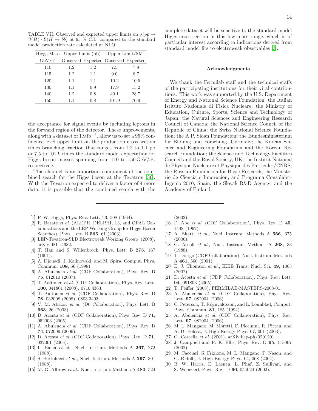TABLE VII: Observed and expected upper limits on  $\sigma(p\bar{p}\rightarrow$  $WH) \cdot \mathcal{B}(H \to b\bar{b})$  at 95 % C.L. compared to the standard model production rate calculated at NLO.

<span id="page-13-30"></span>

| Higgs Mass         |     | Upper Limit $(\text{pb})$ |                                     | Upper Limit/SM |
|--------------------|-----|---------------------------|-------------------------------------|----------------|
| $\mathrm{GeV/c}^2$ |     |                           | Observed Expected Observed Expected |                |
| 110                | 1.2 | 1.2                       | 7.5                                 | 7.8            |
| 115                | 1.2 | 1.1                       | 9.0                                 | 8.7            |
| 120                | 1.1 | 1.1                       | 10.2                                | 10.5           |
| 130                | 1.1 | 0.9                       | 17.9                                | 15.2           |
| 140                | 1.2 | 0.8                       | 40.1                                | 28.7           |
| 150                | 11  | 0.8                       | 101.9                               | 70.9           |

the acceptance for signal events by including leptons in the forward region of the detector. These improvements, along with a dataset of 1.9 fb<sup>-1</sup>, allow us to set a 95% confidence level upper limit on the production cross section times branching fraction that ranges from 1.2 to 1.1 pb or 7.5 to 101.9 times the standard model expectation for Higgs boson masses spanning from 110 to  $150 \,\mathrm{GeV}/c^2$ , respectively.

This channel is an important component of the combined search for the Higgs boson at the Tevatron [\[36\]](#page-14-5). With the Tevatron expected to deliver a factor of 4 more data, it is possible that the combined search with the 14

complete dataset will be sensitive to the standard model Higgs cross section in this low mass range, which is of particular interest according to indications derived from standard model fits to electroweak observables [\[3\]](#page-13-2).

#### Acknowledgments

We thank the Fermilab staff and the technical staffs of the participating institutions for their vital contributions. This work was supported by the U.S. Department of Energy and National Science Foundation; the Italian Istituto Nazionale di Fisica Nucleare; the Ministry of Education, Culture, Sports, Science and Technology of Japan; the Natural Sciences and Engineering Research Council of Canada; the National Science Council of the Republic of China; the Swiss National Science Foundation; the A.P. Sloan Foundation; the Bundesministerium für Bildung und Forschung, Germany; the Korean Science and Engineering Foundation and the Korean Research Foundation; the Science and Technology Facilities Council and the Royal Society, UK; the Institut National de Physique Nucleaire et Physique des Particules/CNRS; the Russian Foundation for Basic Research; the Ministerio de Ciencia e Innovación, and Programa Consolider-Ingenio 2010, Spain; the Slovak R&D Agency; and the Academy of Finland.

- <span id="page-13-0"></span>[1] P. W. Higgs, Phys. Rev. Lett. **13**, 508 (1964).
- <span id="page-13-1"></span>[2] R. Barate *et al.* (ALEPH, DELPHI, L3, and OPAL Collaborations and the LEP Working Group for Higgs Boson Searches), Phys. Lett. B 565, 61 (2003).
- <span id="page-13-2"></span>[3] LEP-Tevatron-SLD Electroweak Working Group (2008), arXiv:0811.4682.
- <span id="page-13-3"></span>[4] T. Han and S. Willenbrock, Phys. Lett. B 273, 167 (1991).
- <span id="page-13-4"></span>[5] A. Djouadi, J. Kalinowski, and M. Spira, Comput. Phys. Commun. 108, 56 (1998).
- <span id="page-13-5"></span>[6] A. Abulencia *et al.* (CDF Collaboration), Phys. Rev. D 75, 012010 (2007).
- <span id="page-13-6"></span>[7] T. Aaltonen *et al.* (CDF Collaboration), Phys. Rev. Lett. 100, 041801 (2008), 0710.4363.
- <span id="page-13-7"></span>[8] T. Aaltonen *et al.* (CDF Collaboration), Phys. Rev. D 78, 032008 (2008), 0803.3493.
- <span id="page-13-8"></span>[9] V. M. Abazov *et al.* (D0 Collaboration), Phys. Lett. B 663, 26 (2008).
- <span id="page-13-9"></span>[10] D. Acosta *et al.* (CDF Collaboration), Phys. Rev. D **71**, 052003 (2005).
- <span id="page-13-10"></span>[11] A. Abulencia *et al.* (CDF Collaboration), Phys. Rev. D 74, 072006 (2006).
- <span id="page-13-11"></span>[12] D. Acosta *et al.* (CDF Collaboration), Phys. Rev. D **71**, 032001 (2005).
- <span id="page-13-12"></span>[13] L. Balka *et al.*, Nucl. Instrum. Methods A 267, 272 (1988).
- <span id="page-13-13"></span>[14] S. Bertolucci *et al.*, Nucl. Instrum. Methods A 267, 301 (1988).
- <span id="page-13-14"></span>[15] M. G. Albrow *et al.*, Nucl. Instrum. Methods A 480, 524

(2002).

- <span id="page-13-15"></span>[16] F. Abe *et al.* (CDF Collaboration), Phys. Rev. D 45, 1448 (1992).
- <span id="page-13-16"></span>[17] A. Bhatti *et al.*, Nucl. Instrum. Methods A 566, 375 (2006).
- <span id="page-13-17"></span>[18] G. Ascoli *et al.*, Nucl. Instrum. Methods A 268, 33 (1988).
- <span id="page-13-18"></span>[19] T. Dorigo (CDF Collaboration), Nucl. Instrum. Methods A 461, 560 (2001).
- <span id="page-13-19"></span>[20] E. J. Thomson *et al.*, IEEE Trans. Nucl. Sci. 49, 1063 (2002).
- <span id="page-13-20"></span>[21] D. Acosta *et al.* (CDF Collaboration), Phys. Rev. Lett. 94, 091803 (2005).
- <span id="page-13-21"></span>[22] T. Peiffer (2008), FERMILAB-MASTERS-2008-01.
- <span id="page-13-22"></span>[23] A. Abulencia *et al.* (CDF Collaboration), Phys. Rev. Lett. **97**, 082004 (2006).
- <span id="page-13-23"></span>[24] C. Peterson, T. Rögnvaldsson, and L. Lönnblad, Comput. Phys. Commun. 81, 185 (1994).
- <span id="page-13-24"></span>[25] A. Abulencia *et al.* (CDF Collaboration), Phys. Rev. Lett. 97, 082004 (2006).
- <span id="page-13-25"></span>[26] M. L. Mangano, M. Moretti, F. Piccinini, R. Pittau, and A. D. Polosa, J. High Energy Phys. 07, 001 (2003).
- <span id="page-13-26"></span>[27] G. Corcella *et al.* (2001), arXiv:hep-ph/0201201.
- <span id="page-13-27"></span>[28] J. Campbell and R. K. Ellis, Phys. Rev. D 65, 113007 (2002).
- <span id="page-13-28"></span>[29] M. Cacciari, S. Frixione, M. L. Mangano, P. Nason, and G. Ridolfi, J. High Energy Phys. 04, 068 (2004).
- <span id="page-13-29"></span>[30] B. W. Harris, E. Laenen, L. Phaf, Z. Sullivan, and S. Weinzierl, Phys. Rev. D 66, 054024 (2002).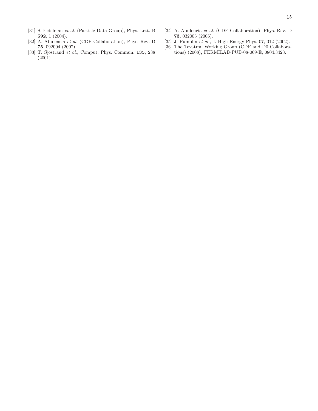- <span id="page-14-1"></span>[31] S. Eidelman *et al.* (Particle Data Group), Phys. Lett. B 592, 1 (2004).
- <span id="page-14-2"></span>[32] A. Abulencia *et al.* (CDF Collaboration), Phys. Rev. D 75, 092004 (2007).
- <span id="page-14-0"></span>[33] T. Sjöstrand *et al.*, Comput. Phys. Commun. **135**, 238 (2001).
- <span id="page-14-3"></span>[34] A. Abulencia *et al.* (CDF Collaboration), Phys. Rev. D 73, 032003 (2006).
- <span id="page-14-4"></span>[35] J. Pumplin *et al.*, J. High Energy Phys. 07, 012 (2002).
- <span id="page-14-5"></span>[36] The Tevatron Working Group (CDF and D0 Collaborations) (2008), FERMILAB-PUB-08-069-E, 0804.3423.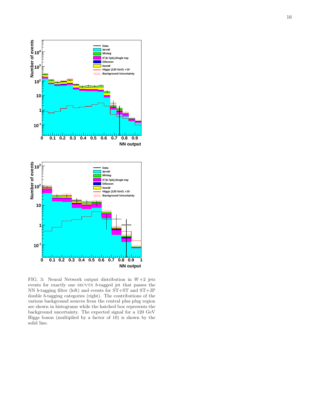

<span id="page-15-0"></span>FIG. 3: Neural Network output distribution in  $W+2$  jets events for exactly one SECVTX *b*-tagged jet that passes the NN b-tagging filter (left) and events for ST+ST and ST+JP double b-tagging categories (right). The contributions of the various background sources from the central plus plug regio n are shown in histograms while the hatched box represents the background uncertainty. The expected signal for a 120 GeV Higgs boson (multiplied by a factor of 10) is shown by the solid line.